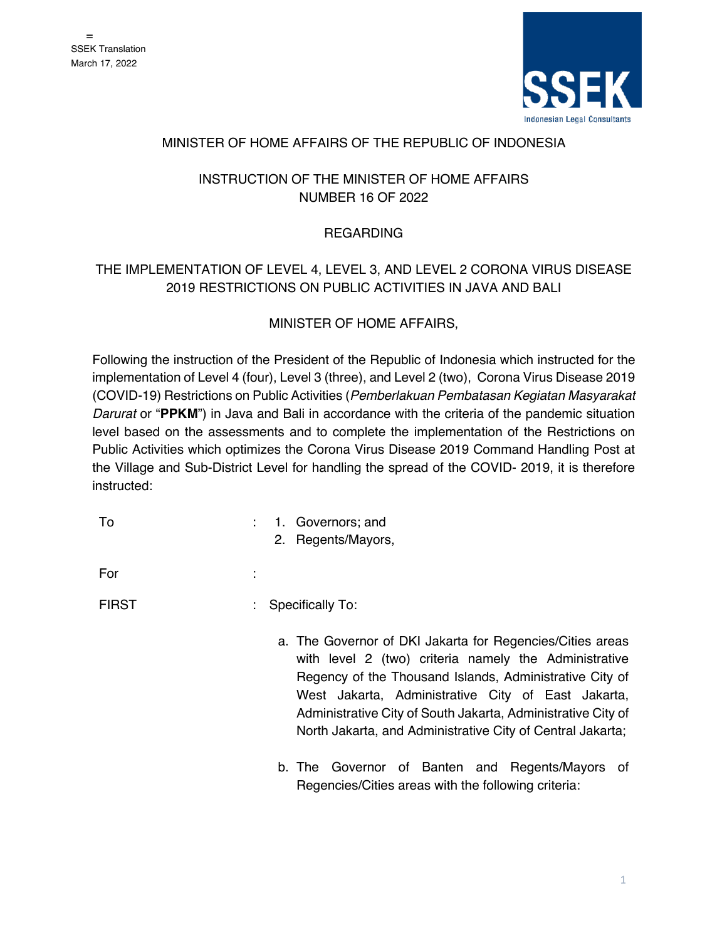

### MINISTER OF HOME AFFAIRS OF THE REPUBLIC OF INDONESIA

## INSTRUCTION OF THE MINISTER OF HOME AFFAIRS NUMBER 16 OF 2022

## REGARDING

# THE IMPLEMENTATION OF LEVEL 4, LEVEL 3, AND LEVEL 2 CORONA VIRUS DISEASE 2019 RESTRICTIONS ON PUBLIC ACTIVITIES IN JAVA AND BALI

## MINISTER OF HOME AFFAIRS,

Following the instruction of the President of the Republic of Indonesia which instructed for the implementation of Level 4 (four), Level 3 (three), and Level 2 (two), Corona Virus Disease 2019 (COVID-19) Restrictions on Public Activities (*Pemberlakuan Pembatasan Kegiatan Masyarakat Darurat* or "**PPKM**") in Java and Bali in accordance with the criteria of the pandemic situation level based on the assessments and to complete the implementation of the Restrictions on Public Activities which optimizes the Corona Virus Disease 2019 Command Handling Post at the Village and Sub-District Level for handling the spread of the COVID- 2019, it is therefore instructed:

|  | 1. Governors; and |
|--|-------------------|
|  |                   |

2. Regents/Mayors,

For the contract of the contract of the contract of the contract of the contract of the contract of the contract of the contract of the contract of the contract of the contract of the contract of the contract of the contra

## FIRST : Specifically To:

- a. The Governor of DKI Jakarta for Regencies/Cities areas with level 2 (two) criteria namely the Administrative Regency of the Thousand Islands, Administrative City of West Jakarta, Administrative City of East Jakarta, Administrative City of South Jakarta, Administrative City of North Jakarta, and Administrative City of Central Jakarta;
- b. The Governor of Banten and Regents/Mayors of Regencies/Cities areas with the following criteria: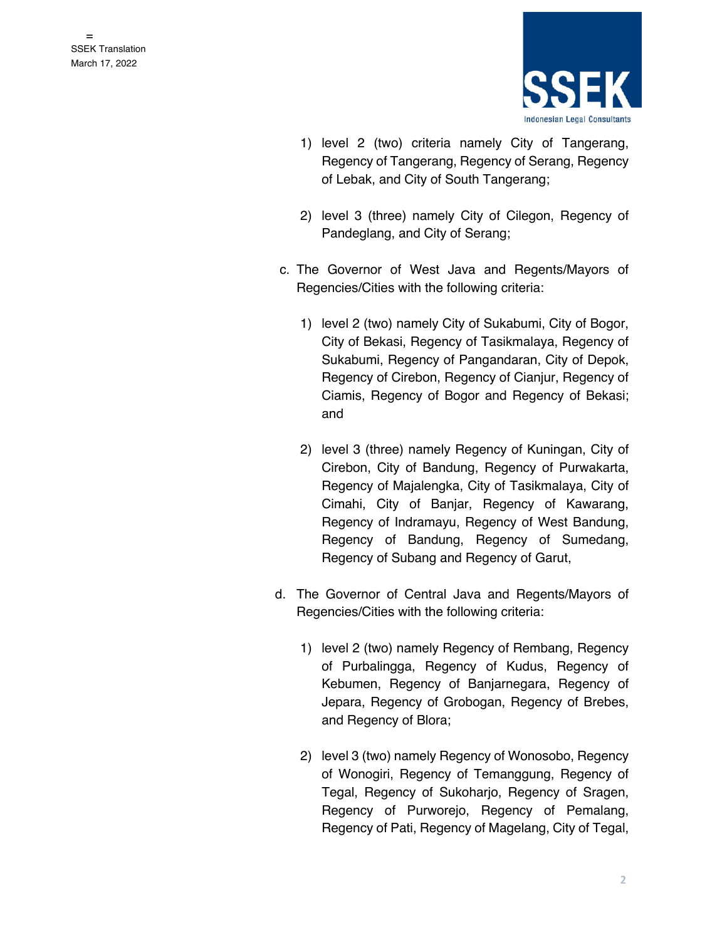

- 1) level 2 (two) criteria namely City of Tangerang, Regency of Tangerang, Regency of Serang, Regency of Lebak, and City of South Tangerang;
- 2) level 3 (three) namely City of Cilegon, Regency of Pandeglang, and City of Serang;
- c. The Governor of West Java and Regents/Mayors of Regencies/Cities with the following criteria:
	- 1) level 2 (two) namely City of Sukabumi, City of Bogor, City of Bekasi, Regency of Tasikmalaya, Regency of Sukabumi, Regency of Pangandaran, City of Depok, Regency of Cirebon, Regency of Cianjur, Regency of Ciamis, Regency of Bogor and Regency of Bekasi; and
	- 2) level 3 (three) namely Regency of Kuningan, City of Cirebon, City of Bandung, Regency of Purwakarta, Regency of Majalengka, City of Tasikmalaya, City of Cimahi, City of Banjar, Regency of Kawarang, Regency of Indramayu, Regency of West Bandung, Regency of Bandung, Regency of Sumedang, Regency of Subang and Regency of Garut,
- d. The Governor of Central Java and Regents/Mayors of Regencies/Cities with the following criteria:
	- 1) level 2 (two) namely Regency of Rembang, Regency of Purbalingga, Regency of Kudus, Regency of Kebumen, Regency of Banjarnegara, Regency of Jepara, Regency of Grobogan, Regency of Brebes, and Regency of Blora;
	- 2) level 3 (two) namely Regency of Wonosobo, Regency of Wonogiri, Regency of Temanggung, Regency of Tegal, Regency of Sukoharjo, Regency of Sragen, Regency of Purworejo, Regency of Pemalang, Regency of Pati, Regency of Magelang, City of Tegal,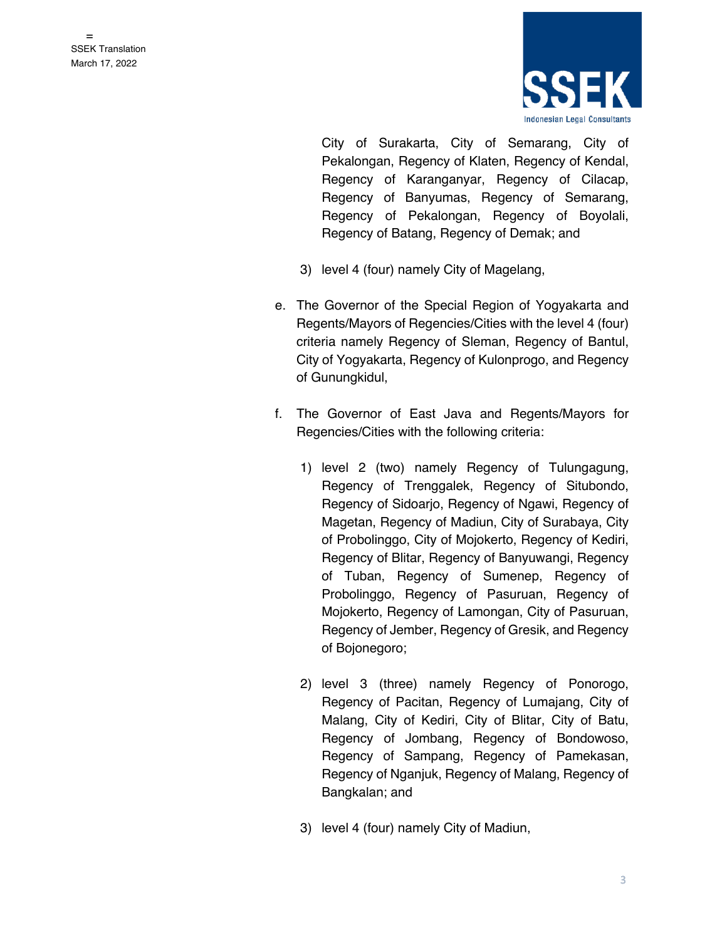

City of Surakarta, City of Semarang, City of Pekalongan, Regency of Klaten, Regency of Kendal, Regency of Karanganyar, Regency of Cilacap, Regency of Banyumas, Regency of Semarang, Regency of Pekalongan, Regency of Boyolali, Regency of Batang, Regency of Demak; and

- 3) level 4 (four) namely City of Magelang,
- e. The Governor of the Special Region of Yogyakarta and Regents/Mayors of Regencies/Cities with the level 4 (four) criteria namely Regency of Sleman, Regency of Bantul, City of Yogyakarta, Regency of Kulonprogo, and Regency of Gunungkidul,
- f. The Governor of East Java and Regents/Mayors for Regencies/Cities with the following criteria:
	- 1) level 2 (two) namely Regency of Tulungagung, Regency of Trenggalek, Regency of Situbondo, Regency of Sidoarjo, Regency of Ngawi, Regency of Magetan, Regency of Madiun, City of Surabaya, City of Probolinggo, City of Mojokerto, Regency of Kediri, Regency of Blitar, Regency of Banyuwangi, Regency of Tuban, Regency of Sumenep, Regency of Probolinggo, Regency of Pasuruan, Regency of Mojokerto, Regency of Lamongan, City of Pasuruan, Regency of Jember, Regency of Gresik, and Regency of Bojonegoro;
	- 2) level 3 (three) namely Regency of Ponorogo, Regency of Pacitan, Regency of Lumajang, City of Malang, City of Kediri, City of Blitar, City of Batu, Regency of Jombang, Regency of Bondowoso, Regency of Sampang, Regency of Pamekasan, Regency of Nganjuk, Regency of Malang, Regency of Bangkalan; and
	- 3) level 4 (four) namely City of Madiun,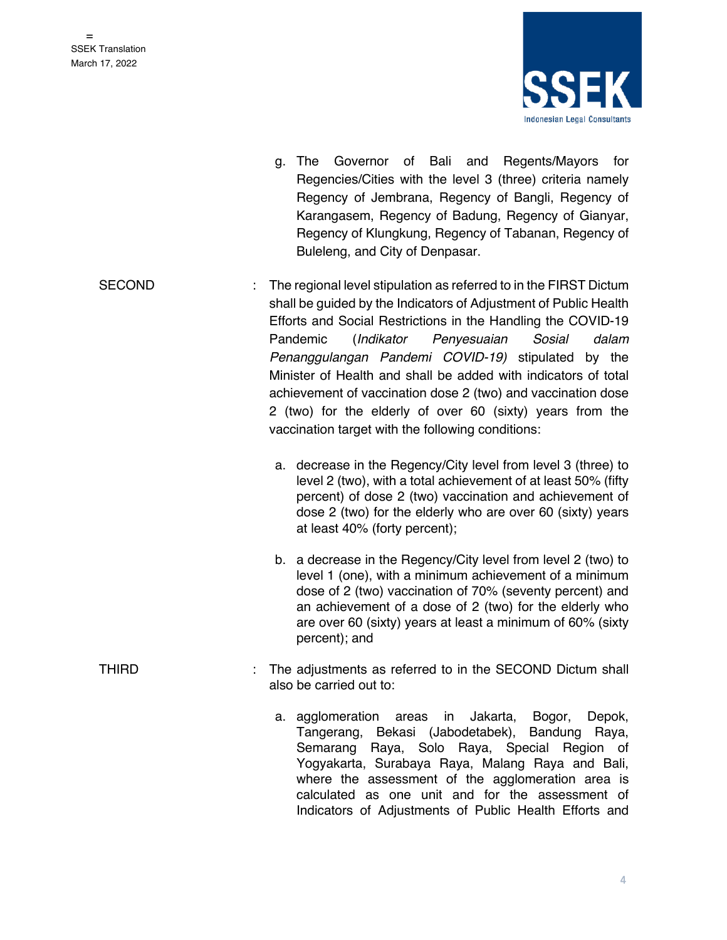

- g. The Governor of Bali and Regents/Mayors for Regencies/Cities with the level 3 (three) criteria namely Regency of Jembrana, Regency of Bangli, Regency of Karangasem, Regency of Badung, Regency of Gianyar, Regency of Klungkung, Regency of Tabanan, Regency of Buleleng, and City of Denpasar.
- SECOND : The regional level stipulation as referred to in the FIRST Dictum shall be guided by the Indicators of Adjustment of Public Health Efforts and Social Restrictions in the Handling the COVID-19 Pandemic (*Indikator Penyesuaian Sosial dalam Penanggulangan Pandemi COVID-19)* stipulated by the Minister of Health and shall be added with indicators of total achievement of vaccination dose 2 (two) and vaccination dose 2 (two) for the elderly of over 60 (sixty) years from the vaccination target with the following conditions:
	- a. decrease in the Regency/City level from level 3 (three) to level 2 (two), with a total achievement of at least 50% (fifty percent) of dose 2 (two) vaccination and achievement of dose 2 (two) for the elderly who are over 60 (sixty) years at least 40% (forty percent);
	- b. a decrease in the Regency/City level from level 2 (two) to level 1 (one), with a minimum achievement of a minimum dose of 2 (two) vaccination of 70% (seventy percent) and an achievement of a dose of 2 (two) for the elderly who are over 60 (sixty) years at least a minimum of 60% (sixty percent); and
- THIRD : The adjustments as referred to in the SECOND Dictum shall also be carried out to:
	- a. agglomeration areas in Jakarta, Bogor, Depok, Tangerang, Bekasi (Jabodetabek), Bandung Raya, Semarang Raya, Solo Raya, Special Region of Yogyakarta, Surabaya Raya, Malang Raya and Bali, where the assessment of the agglomeration area is calculated as one unit and for the assessment of Indicators of Adjustments of Public Health Efforts and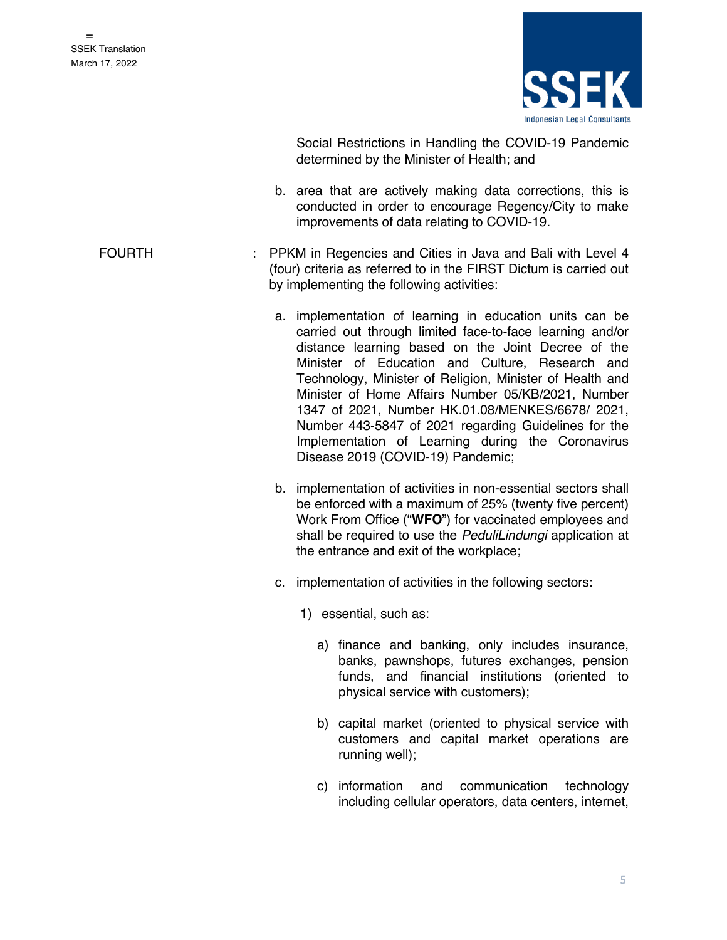

Social Restrictions in Handling the COVID-19 Pandemic determined by the Minister of Health; and

- b. area that are actively making data corrections, this is conducted in order to encourage Regency/City to make improvements of data relating to COVID-19.
- FOURTH : PPKM in Regencies and Cities in Java and Bali with Level 4 (four) criteria as referred to in the FIRST Dictum is carried out by implementing the following activities:
	- a. implementation of learning in education units can be carried out through limited face-to-face learning and/or distance learning based on the Joint Decree of the Minister of Education and Culture, Research and Technology, Minister of Religion, Minister of Health and Minister of Home Affairs Number 05/KB/2021, Number 1347 of 2021, Number HK.01.08/MENKES/6678/ 2021, Number 443-5847 of 2021 regarding Guidelines for the Implementation of Learning during the Coronavirus Disease 2019 (COVID-19) Pandemic;
	- b. implementation of activities in non-essential sectors shall be enforced with a maximum of 25% (twenty five percent) Work From Office ("**WFO**") for vaccinated employees and shall be required to use the *PeduliLindungi* application at the entrance and exit of the workplace;
	- c. implementation of activities in the following sectors:
		- 1) essential, such as:
			- a) finance and banking, only includes insurance, banks, pawnshops, futures exchanges, pension funds, and financial institutions (oriented to physical service with customers);
			- b) capital market (oriented to physical service with customers and capital market operations are running well);
			- c) information and communication technology including cellular operators, data centers, internet,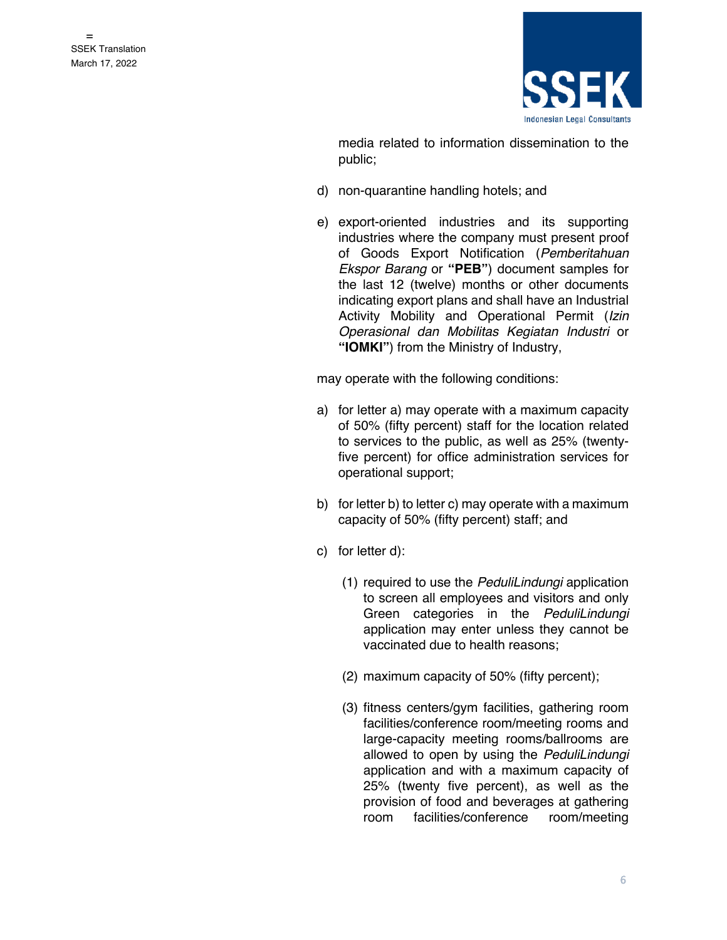

media related to information dissemination to the public;

- d) non-quarantine handling hotels; and
- e) export-oriented industries and its supporting industries where the company must present proof of Goods Export Notification (*Pemberitahuan Ekspor Barang* or **"PEB"**) document samples for the last 12 (twelve) months or other documents indicating export plans and shall have an Industrial Activity Mobility and Operational Permit (*Izin Operasional dan Mobilitas Kegiatan Industri* or **"IOMKI"**) from the Ministry of Industry,

may operate with the following conditions:

- a) for letter a) may operate with a maximum capacity of 50% (fifty percent) staff for the location related to services to the public, as well as 25% (twentyfive percent) for office administration services for operational support;
- b) for letter b) to letter c) may operate with a maximum capacity of 50% (fifty percent) staff; and
- c) for letter d):
	- (1) required to use the *PeduliLindungi* application to screen all employees and visitors and only Green categories in the *PeduliLindungi*  application may enter unless they cannot be vaccinated due to health reasons;
	- (2) maximum capacity of 50% (fifty percent);
	- (3) fitness centers/gym facilities, gathering room facilities/conference room/meeting rooms and large-capacity meeting rooms/ballrooms are allowed to open by using the *PeduliLindungi* application and with a maximum capacity of 25% (twenty five percent), as well as the provision of food and beverages at gathering room facilities/conference room/meeting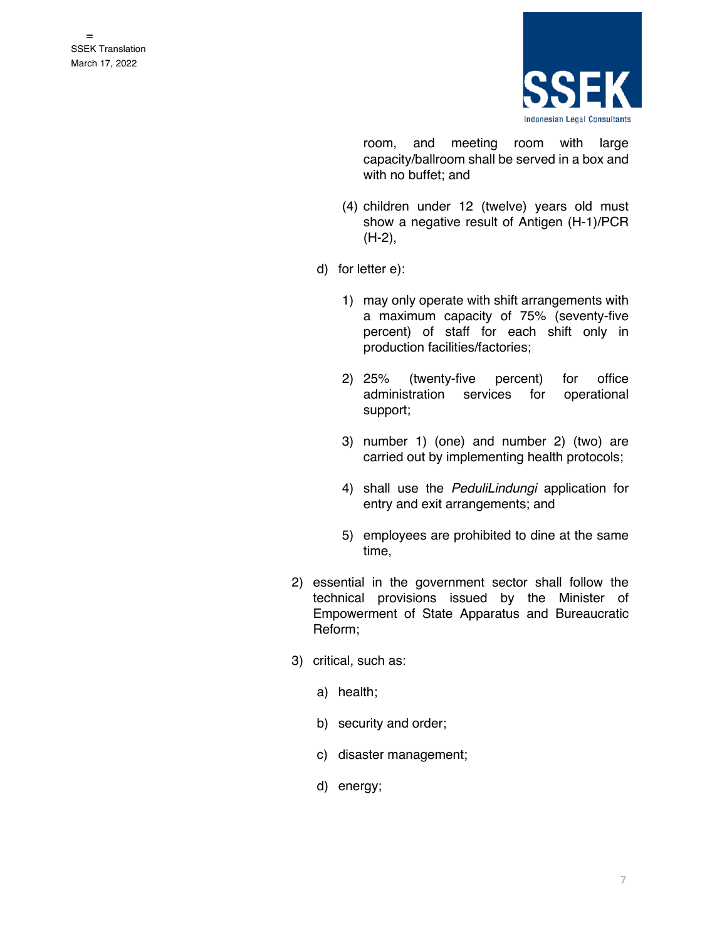

room, and meeting room with large capacity/ballroom shall be served in a box and with no buffet; and

- (4) children under 12 (twelve) years old must show a negative result of Antigen (H-1)/PCR (H-2),
- d) for letter e):
	- 1) may only operate with shift arrangements with a maximum capacity of 75% (seventy-five percent) of staff for each shift only in production facilities/factories;
	- 2) 25% (twenty-five percent) for office administration services for operational support;
	- 3) number 1) (one) and number 2) (two) are carried out by implementing health protocols;
	- 4) shall use the *PeduliLindungi* application for entry and exit arrangements; and
	- 5) employees are prohibited to dine at the same time,
- 2) essential in the government sector shall follow the technical provisions issued by the Minister of Empowerment of State Apparatus and Bureaucratic Reform;
- 3) critical, such as:
	- a) health;
	- b) security and order;
	- c) disaster management;
	- d) energy;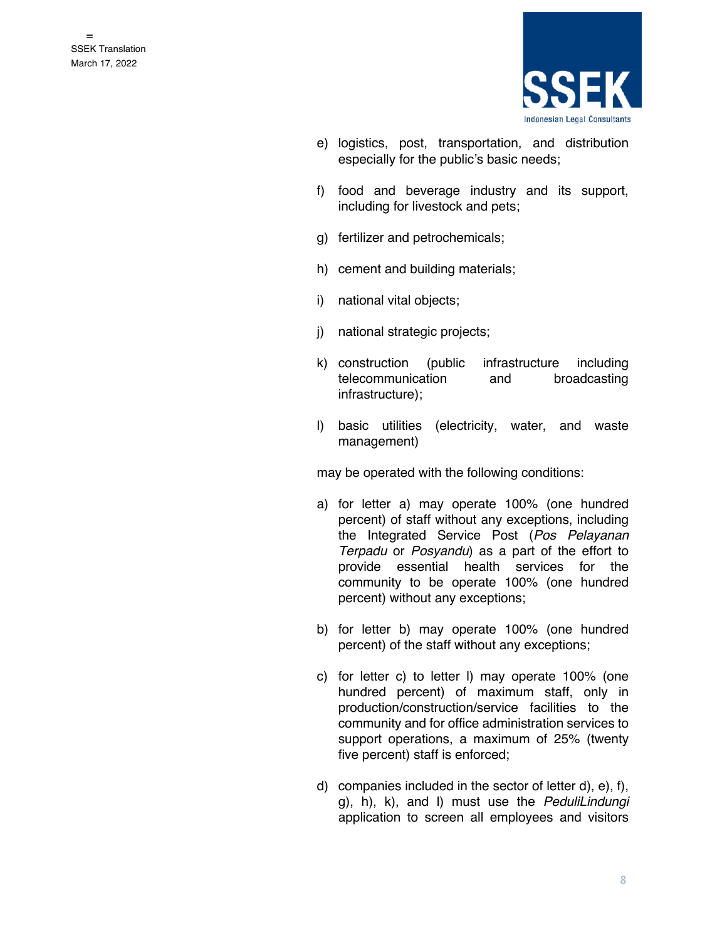

- e) logistics, post, transportation, and distribution especially for the public's basic needs;
- f) food and beverage industry and its support, including for livestock and pets;
- g) fertilizer and petrochemicals;
- h) cement and building materials;
- i) national vital objects;
- j) national strategic projects;
- k) construction (public infrastructure including telecommunication and broadcasting infrastructure);
- l) basic utilities (electricity, water, and waste management)

may be operated with the following conditions:

- a) for letter a) may operate 100% (one hundred percent) of staff without any exceptions, including the Integrated Service Post (*Pos Pelayanan Terpadu* or *Posyandu*) as a part of the effort to provide essential health services for the community to be operate 100% (one hundred percent) without any exceptions;
- b) for letter b) may operate 100% (one hundred percent) of the staff without any exceptions;
- c) for letter c) to letter l) may operate 100% (one hundred percent) of maximum staff, only in production/construction/service facilities to the community and for office administration services to support operations, a maximum of 25% (twenty five percent) staff is enforced;
- d) companies included in the sector of letter d), e), f), g), h), k), and l) must use the *PeduliLindungi* application to screen all employees and visitors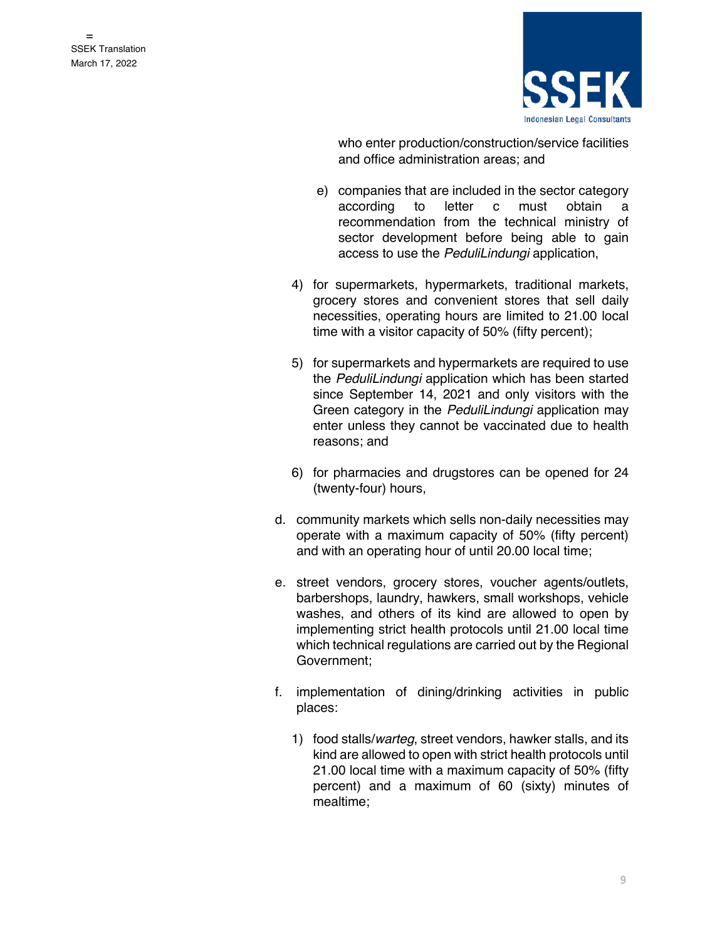

who enter production/construction/service facilities and office administration areas; and

- e) companies that are included in the sector category according to letter c must obtain a recommendation from the technical ministry of sector development before being able to gain access to use the *PeduliLindungi* application,
- 4) for supermarkets, hypermarkets, traditional markets, grocery stores and convenient stores that sell daily necessities, operating hours are limited to 21.00 local time with a visitor capacity of 50% (fifty percent);
- 5) for supermarkets and hypermarkets are required to use the *PeduliLindungi* application which has been started since September 14, 2021 and only visitors with the Green category in the *PeduliLindungi* application may enter unless they cannot be vaccinated due to health reasons; and
- 6) for pharmacies and drugstores can be opened for 24 (twenty-four) hours,
- d. community markets which sells non-daily necessities may operate with a maximum capacity of 50% (fifty percent) and with an operating hour of until 20.00 local time;
- e. street vendors, grocery stores, voucher agents/outlets, barbershops, laundry, hawkers, small workshops, vehicle washes, and others of its kind are allowed to open by implementing strict health protocols until 21.00 local time which technical regulations are carried out by the Regional Government;
- f. implementation of dining/drinking activities in public places:
	- 1) food stalls/*warteg*, street vendors, hawker stalls, and its kind are allowed to open with strict health protocols until 21.00 local time with a maximum capacity of 50% (fifty percent) and a maximum of 60 (sixty) minutes of mealtime;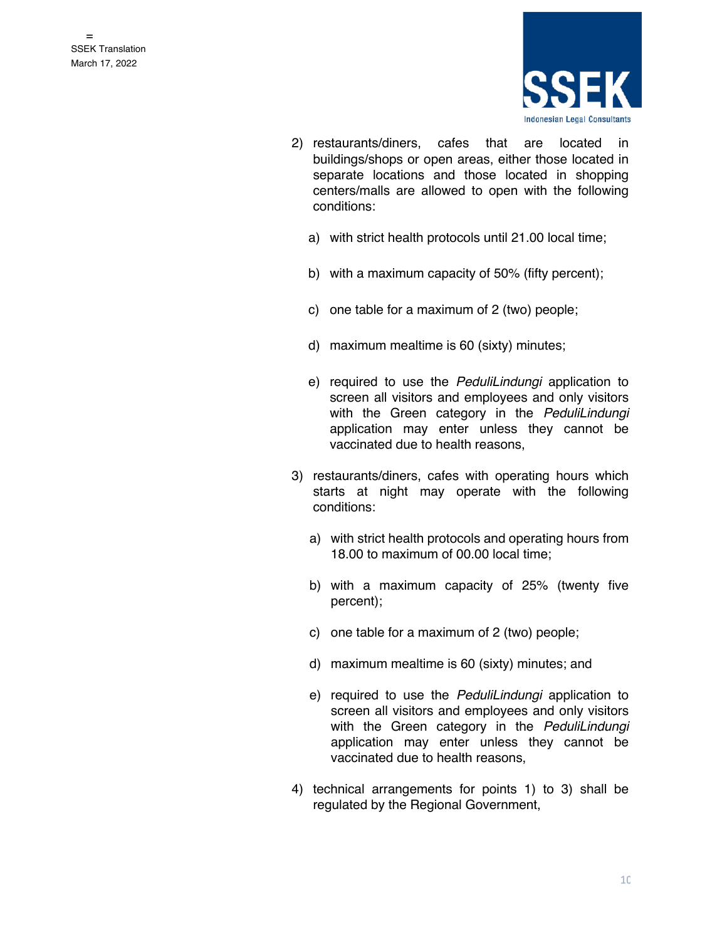

- 2) restaurants/diners, cafes that are located in buildings/shops or open areas, either those located in separate locations and those located in shopping centers/malls are allowed to open with the following conditions:
	- a) with strict health protocols until 21.00 local time;
	- b) with a maximum capacity of 50% (fifty percent);
	- c) one table for a maximum of 2 (two) people;
	- d) maximum mealtime is 60 (sixty) minutes;
	- e) required to use the *PeduliLindungi* application to screen all visitors and employees and only visitors with the Green category in the *PeduliLindungi*  application may enter unless they cannot be vaccinated due to health reasons,
- 3) restaurants/diners, cafes with operating hours which starts at night may operate with the following conditions:
	- a) with strict health protocols and operating hours from 18.00 to maximum of 00.00 local time;
	- b) with a maximum capacity of 25% (twenty five percent);
	- c) one table for a maximum of 2 (two) people;
	- d) maximum mealtime is 60 (sixty) minutes; and
	- e) required to use the *PeduliLindungi* application to screen all visitors and employees and only visitors with the Green category in the *PeduliLindungi*  application may enter unless they cannot be vaccinated due to health reasons,
- 4) technical arrangements for points 1) to 3) shall be regulated by the Regional Government,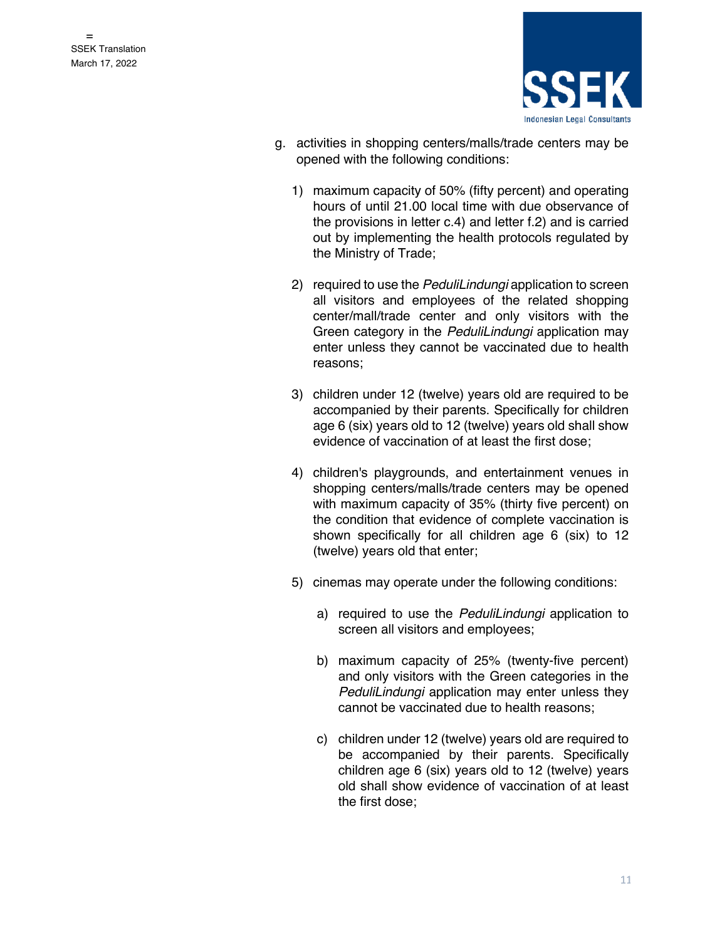

- g. activities in shopping centers/malls/trade centers may be opened with the following conditions:
	- 1) maximum capacity of 50% (fifty percent) and operating hours of until 21.00 local time with due observance of the provisions in letter c.4) and letter f.2) and is carried out by implementing the health protocols regulated by the Ministry of Trade;
	- 2) required to use the *PeduliLindungi* application to screen all visitors and employees of the related shopping center/mall/trade center and only visitors with the Green category in the *PeduliLindungi* application may enter unless they cannot be vaccinated due to health reasons;
	- 3) children under 12 (twelve) years old are required to be accompanied by their parents. Specifically for children age 6 (six) years old to 12 (twelve) years old shall show evidence of vaccination of at least the first dose;
	- 4) children's playgrounds, and entertainment venues in shopping centers/malls/trade centers may be opened with maximum capacity of 35% (thirty five percent) on the condition that evidence of complete vaccination is shown specifically for all children age 6 (six) to 12 (twelve) years old that enter;
	- 5) cinemas may operate under the following conditions:
		- a) required to use the *PeduliLindungi* application to screen all visitors and employees;
		- b) maximum capacity of 25% (twenty-five percent) and only visitors with the Green categories in the *PeduliLindungi* application may enter unless they cannot be vaccinated due to health reasons;
		- c) children under 12 (twelve) years old are required to be accompanied by their parents. Specifically children age 6 (six) years old to 12 (twelve) years old shall show evidence of vaccination of at least the first dose;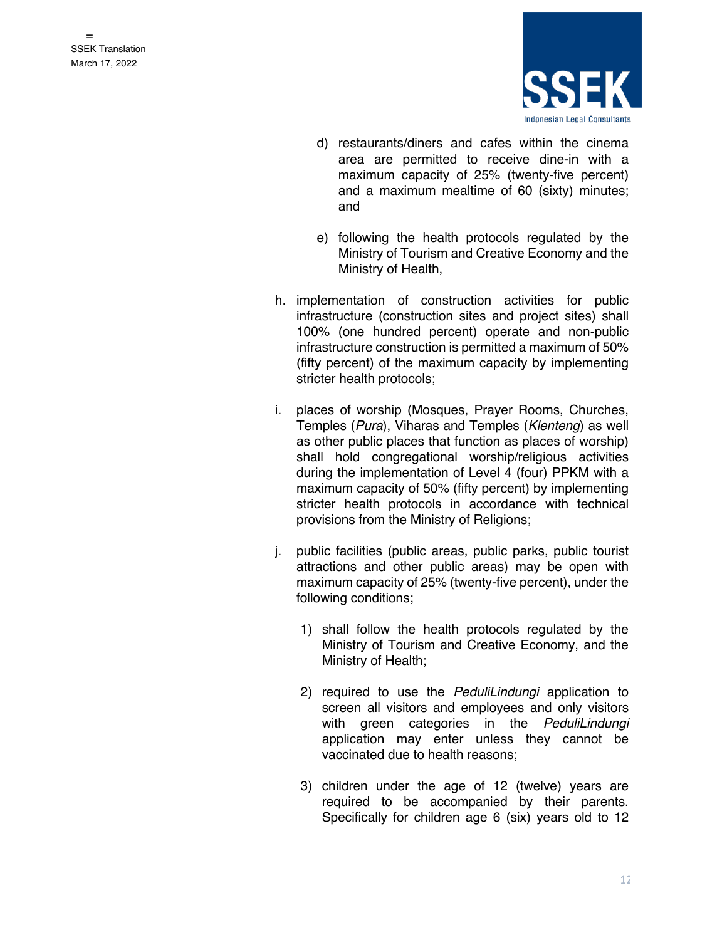

- d) restaurants/diners and cafes within the cinema area are permitted to receive dine-in with a maximum capacity of 25% (twenty-five percent) and a maximum mealtime of 60 (sixty) minutes; and
- e) following the health protocols regulated by the Ministry of Tourism and Creative Economy and the Ministry of Health,
- h. implementation of construction activities for public infrastructure (construction sites and project sites) shall 100% (one hundred percent) operate and non-public infrastructure construction is permitted a maximum of 50% (fifty percent) of the maximum capacity by implementing stricter health protocols;
- i. places of worship (Mosques, Prayer Rooms, Churches, Temples (*Pura*), Viharas and Temples (*Klenteng*) as well as other public places that function as places of worship) shall hold congregational worship/religious activities during the implementation of Level 4 (four) PPKM with a maximum capacity of 50% (fifty percent) by implementing stricter health protocols in accordance with technical provisions from the Ministry of Religions;
- j. public facilities (public areas, public parks, public tourist attractions and other public areas) may be open with maximum capacity of 25% (twenty-five percent), under the following conditions;
	- 1) shall follow the health protocols regulated by the Ministry of Tourism and Creative Economy, and the Ministry of Health;
	- 2) required to use the *PeduliLindungi* application to screen all visitors and employees and only visitors with green categories in the *PeduliLindungi*  application may enter unless they cannot be vaccinated due to health reasons;
	- 3) children under the age of 12 (twelve) years are required to be accompanied by their parents. Specifically for children age 6 (six) years old to 12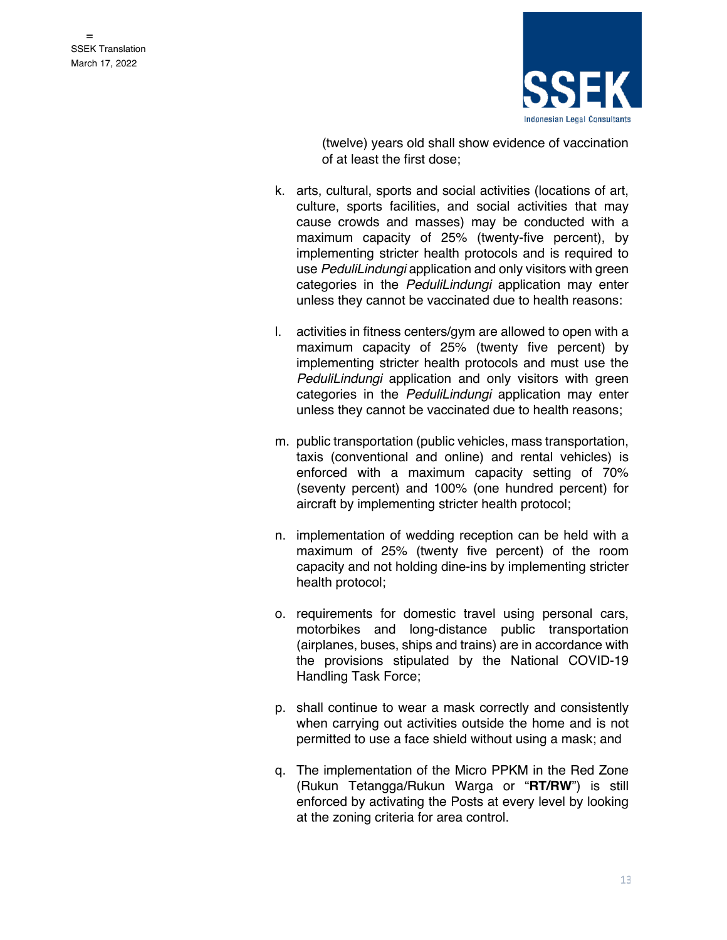

(twelve) years old shall show evidence of vaccination of at least the first dose;

- k. arts, cultural, sports and social activities (locations of art, culture, sports facilities, and social activities that may cause crowds and masses) may be conducted with a maximum capacity of 25% (twenty-five percent), by implementing stricter health protocols and is required to use *PeduliLindungi* application and only visitors with green categories in the *PeduliLindungi* application may enter unless they cannot be vaccinated due to health reasons:
- l. activities in fitness centers/gym are allowed to open with a maximum capacity of 25% (twenty five percent) by implementing stricter health protocols and must use the *PeduliLindungi* application and only visitors with green categories in the *PeduliLindungi* application may enter unless they cannot be vaccinated due to health reasons;
- m. public transportation (public vehicles, mass transportation, taxis (conventional and online) and rental vehicles) is enforced with a maximum capacity setting of 70% (seventy percent) and 100% (one hundred percent) for aircraft by implementing stricter health protocol;
- n. implementation of wedding reception can be held with a maximum of 25% (twenty five percent) of the room capacity and not holding dine-ins by implementing stricter health protocol;
- o. requirements for domestic travel using personal cars, motorbikes and long-distance public transportation (airplanes, buses, ships and trains) are in accordance with the provisions stipulated by the National COVID-19 Handling Task Force;
- p. shall continue to wear a mask correctly and consistently when carrying out activities outside the home and is not permitted to use a face shield without using a mask; and
- q. The implementation of the Micro PPKM in the Red Zone (Rukun Tetangga/Rukun Warga or "**RT/RW**") is still enforced by activating the Posts at every level by looking at the zoning criteria for area control.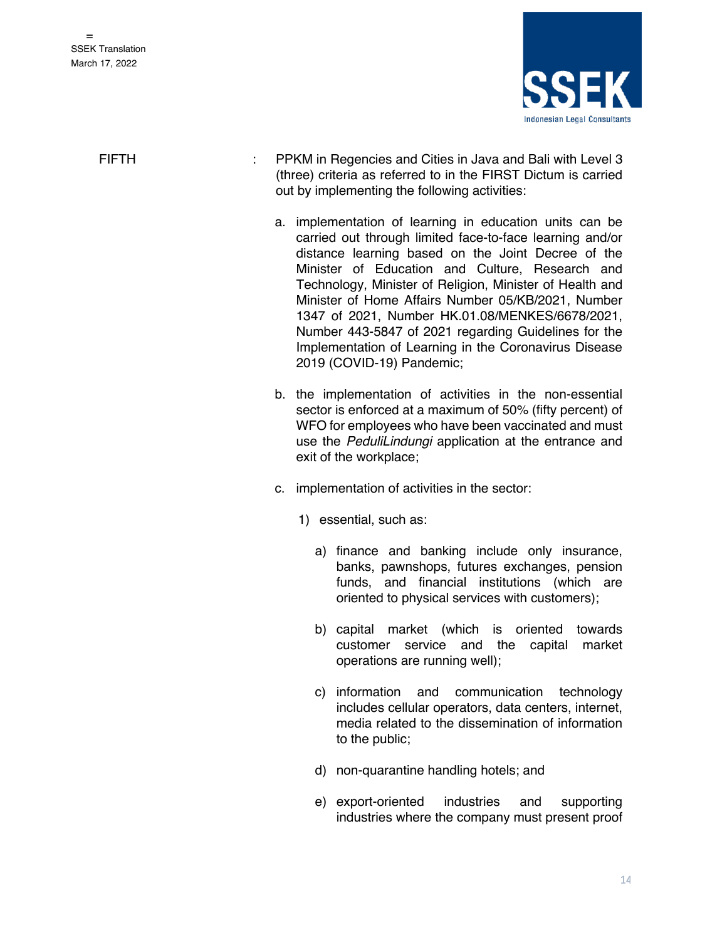

FIFTH : PPKM in Regencies and Cities in Java and Bali with Level 3 (three) criteria as referred to in the FIRST Dictum is carried out by implementing the following activities:

- a. implementation of learning in education units can be carried out through limited face-to-face learning and/or distance learning based on the Joint Decree of the Minister of Education and Culture, Research and Technology, Minister of Religion, Minister of Health and Minister of Home Affairs Number 05/KB/2021, Number 1347 of 2021, Number HK.01.08/MENKES/6678/2021, Number 443-5847 of 2021 regarding Guidelines for the Implementation of Learning in the Coronavirus Disease 2019 (COVID-19) Pandemic;
- b. the implementation of activities in the non-essential sector is enforced at a maximum of 50% (fifty percent) of WFO for employees who have been vaccinated and must use the *PeduliLindungi* application at the entrance and exit of the workplace;
- c. implementation of activities in the sector:
	- 1) essential, such as:
		- a) finance and banking include only insurance, banks, pawnshops, futures exchanges, pension funds, and financial institutions (which are oriented to physical services with customers);
		- b) capital market (which is oriented towards customer service and the capital market operations are running well);
		- c) information and communication technology includes cellular operators, data centers, internet, media related to the dissemination of information to the public;
		- d) non-quarantine handling hotels; and
		- e) export-oriented industries and supporting industries where the company must present proof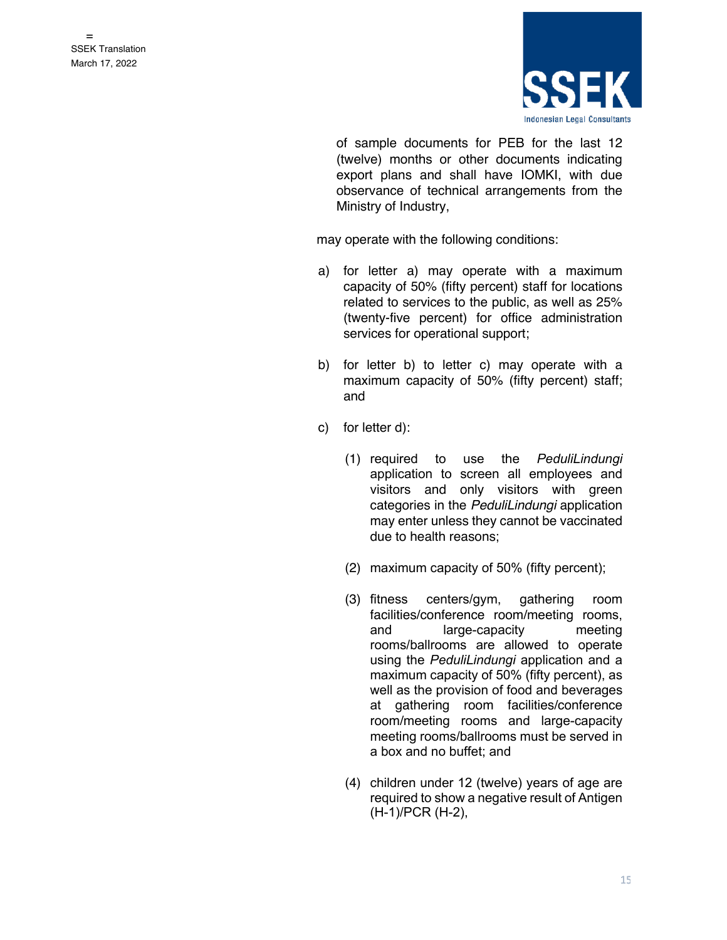

of sample documents for PEB for the last 12 (twelve) months or other documents indicating export plans and shall have IOMKI, with due observance of technical arrangements from the Ministry of Industry,

may operate with the following conditions:

- a) for letter a) may operate with a maximum capacity of 50% (fifty percent) staff for locations related to services to the public, as well as 25% (twenty-five percent) for office administration services for operational support;
- b) for letter b) to letter c) may operate with a maximum capacity of 50% (fifty percent) staff; and
- c) for letter d):
	- (1) required to use the *PeduliLindungi* application to screen all employees and visitors and only visitors with green categories in the *PeduliLindungi* application may enter unless they cannot be vaccinated due to health reasons;
	- (2) maximum capacity of 50% (fifty percent);
	- (3) fitness centers/gym, gathering room facilities/conference room/meeting rooms, and large-capacity meeting rooms/ballrooms are allowed to operate using the *PeduliLindungi* application and a maximum capacity of 50% (fifty percent), as well as the provision of food and beverages at gathering room facilities/conference room/meeting rooms and large-capacity meeting rooms/ballrooms must be served in a box and no buffet; and
	- (4) children under 12 (twelve) years of age are required to show a negative result of Antigen (H-1)/PCR (H-2),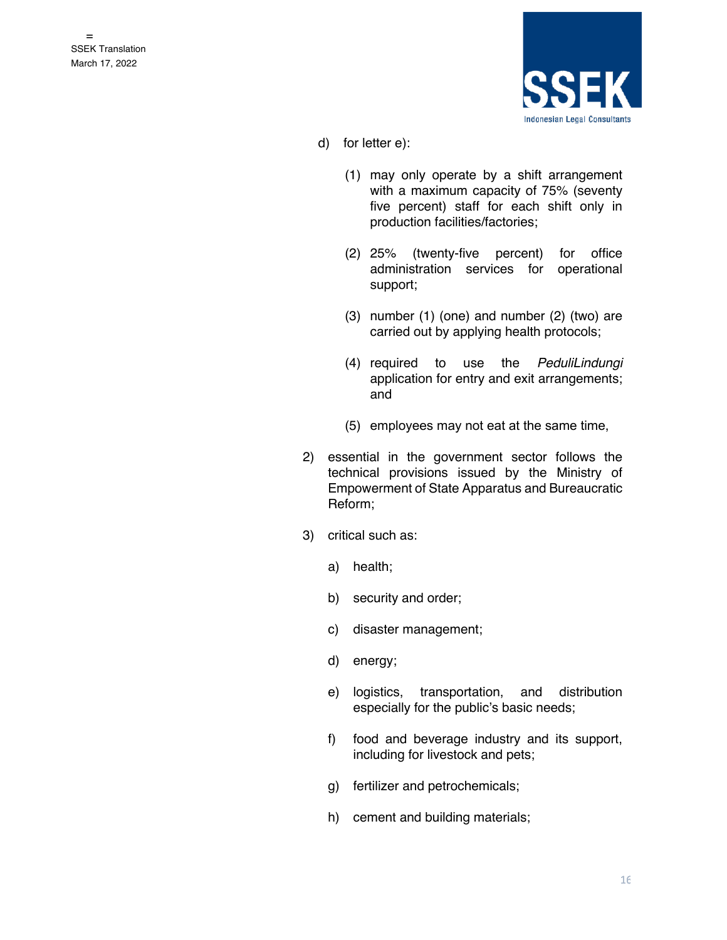

- d) for letter e):
	- (1) may only operate by a shift arrangement with a maximum capacity of 75% (seventy five percent) staff for each shift only in production facilities/factories;
	- (2) 25% (twenty-five percent) for office administration services for operational support;
	- (3) number (1) (one) and number (2) (two) are carried out by applying health protocols;
	- (4) required to use the *PeduliLindungi* application for entry and exit arrangements; and
	- (5) employees may not eat at the same time,
- 2) essential in the government sector follows the technical provisions issued by the Ministry of Empowerment of State Apparatus and Bureaucratic Reform;
- 3) critical such as:
	- a) health;
	- b) security and order;
	- c) disaster management;
	- d) energy;
	- e) logistics, transportation, and distribution especially for the public's basic needs;
	- f) food and beverage industry and its support, including for livestock and pets;
	- g) fertilizer and petrochemicals;
	- h) cement and building materials;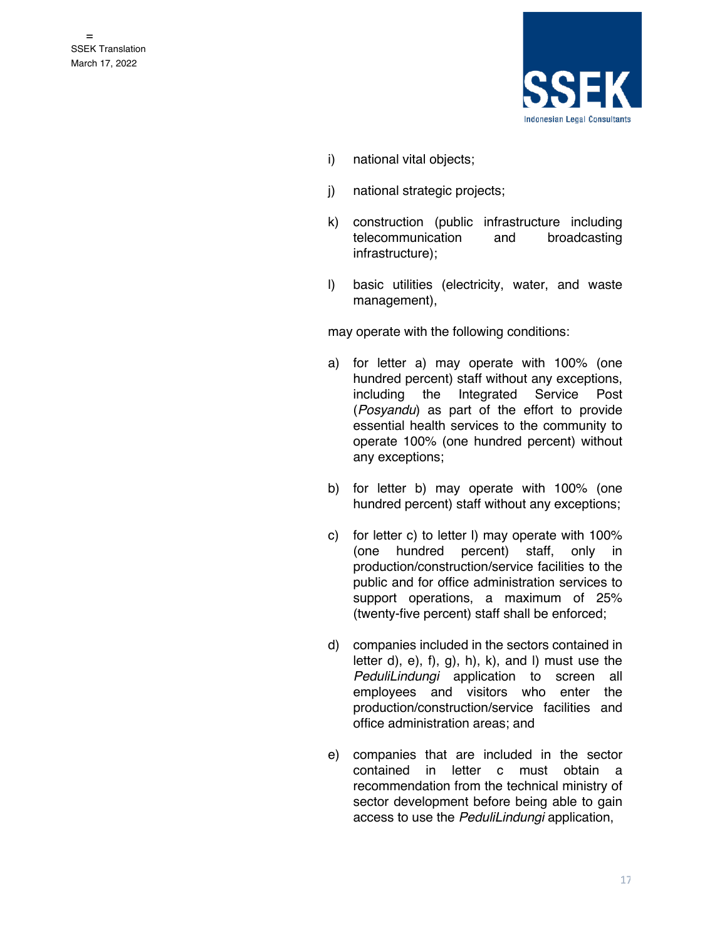

- i) national vital objects;
- j) national strategic projects;
- k) construction (public infrastructure including telecommunication and broadcasting infrastructure);
- l) basic utilities (electricity, water, and waste management),

may operate with the following conditions:

- a) for letter a) may operate with 100% (one hundred percent) staff without any exceptions, including the Integrated Service Post (*Posyandu*) as part of the effort to provide essential health services to the community to operate 100% (one hundred percent) without any exceptions;
- b) for letter b) may operate with 100% (one hundred percent) staff without any exceptions;
- c) for letter c) to letter l) may operate with 100% (one hundred percent) staff, only in production/construction/service facilities to the public and for office administration services to support operations, a maximum of 25% (twenty-five percent) staff shall be enforced;
- d) companies included in the sectors contained in letter d),  $e$ ),  $f$ ),  $g$ ),  $h$ ),  $k$ ),  $h$ , and  $h$ ) must use the *PeduliLindungi* application to screen all employees and visitors who enter the production/construction/service facilities and office administration areas; and
- e) companies that are included in the sector contained in letter c must obtain a recommendation from the technical ministry of sector development before being able to gain access to use the *PeduliLindungi* application,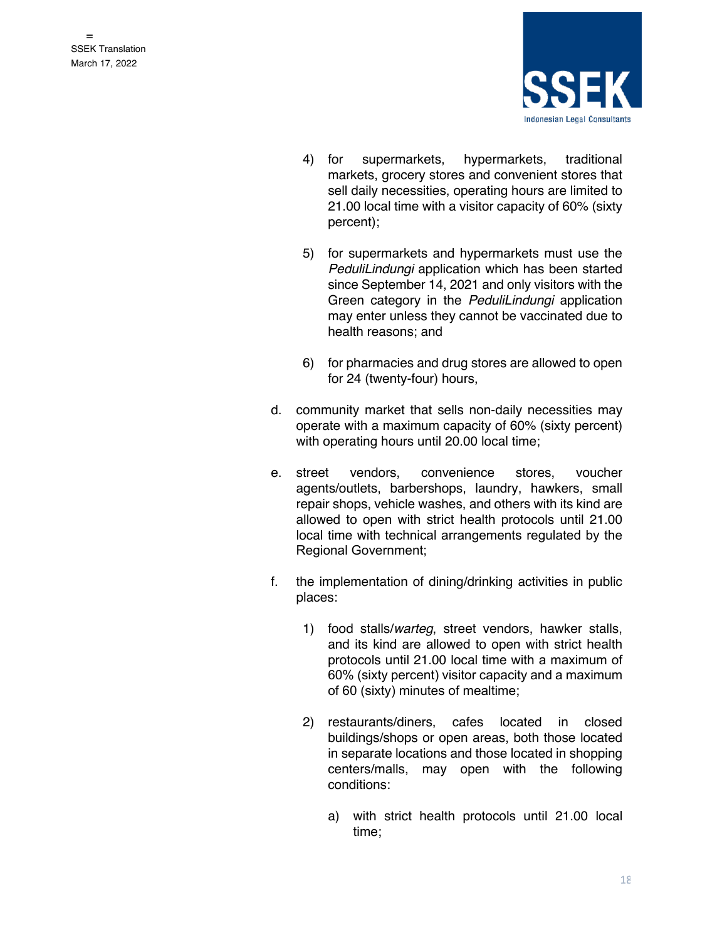

- 4) for supermarkets, hypermarkets, traditional markets, grocery stores and convenient stores that sell daily necessities, operating hours are limited to 21.00 local time with a visitor capacity of 60% (sixty percent);
- 5) for supermarkets and hypermarkets must use the *PeduliLindungi* application which has been started since September 14, 2021 and only visitors with the Green category in the *PeduliLindungi* application may enter unless they cannot be vaccinated due to health reasons; and
- 6) for pharmacies and drug stores are allowed to open for 24 (twenty-four) hours,
- d. community market that sells non-daily necessities may operate with a maximum capacity of 60% (sixty percent) with operating hours until 20.00 local time;
- e. street vendors, convenience stores, voucher agents/outlets, barbershops, laundry, hawkers, small repair shops, vehicle washes, and others with its kind are allowed to open with strict health protocols until 21.00 local time with technical arrangements regulated by the Regional Government;
- f. the implementation of dining/drinking activities in public places:
	- 1) food stalls/*warteg*, street vendors, hawker stalls, and its kind are allowed to open with strict health protocols until 21.00 local time with a maximum of 60% (sixty percent) visitor capacity and a maximum of 60 (sixty) minutes of mealtime;
	- 2) restaurants/diners, cafes located in closed buildings/shops or open areas, both those located in separate locations and those located in shopping centers/malls, may open with the following conditions:
		- a) with strict health protocols until 21.00 local time;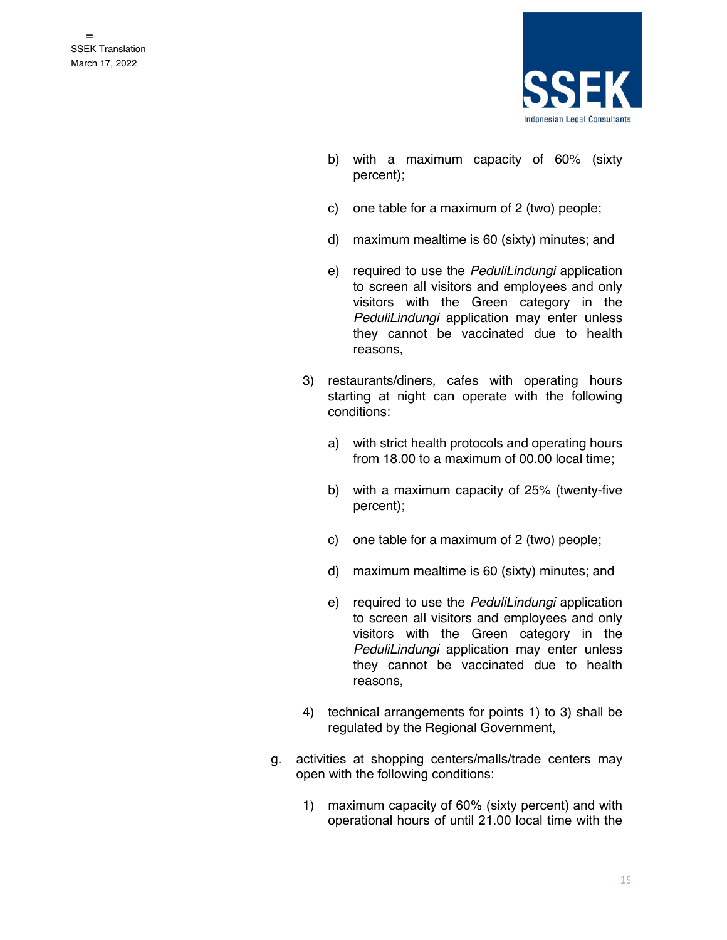

- b) with a maximum capacity of 60% (sixty percent);
- c) one table for a maximum of 2 (two) people;
- d) maximum mealtime is 60 (sixty) minutes; and
- e) required to use the *PeduliLindungi* application to screen all visitors and employees and only visitors with the Green category in the *PeduliLindungi* application may enter unless they cannot be vaccinated due to health reasons,
- 3) restaurants/diners, cafes with operating hours starting at night can operate with the following conditions:
	- a) with strict health protocols and operating hours from 18.00 to a maximum of 00.00 local time;
	- b) with a maximum capacity of 25% (twenty-five percent);
	- c) one table for a maximum of 2 (two) people;
	- d) maximum mealtime is 60 (sixty) minutes; and
	- e) required to use the *PeduliLindungi* application to screen all visitors and employees and only visitors with the Green category in the *PeduliLindungi* application may enter unless they cannot be vaccinated due to health reasons,
- 4) technical arrangements for points 1) to 3) shall be regulated by the Regional Government,
- g. activities at shopping centers/malls/trade centers may open with the following conditions:
	- 1) maximum capacity of 60% (sixty percent) and with operational hours of until 21.00 local time with the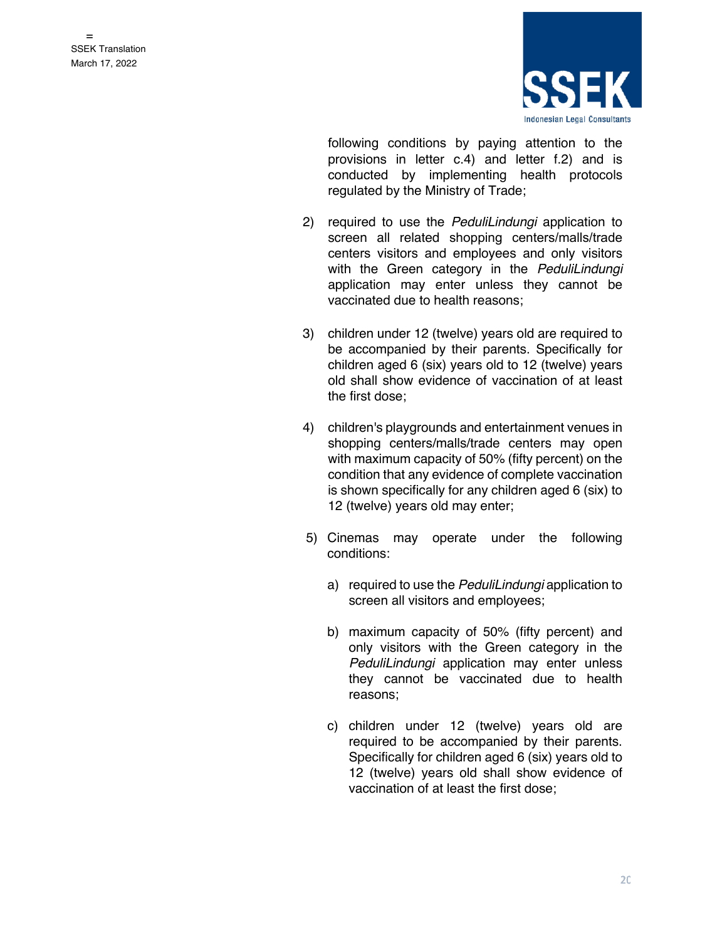

following conditions by paying attention to the provisions in letter c.4) and letter f.2) and is conducted by implementing health protocols regulated by the Ministry of Trade;

- 2) required to use the *PeduliLindungi* application to screen all related shopping centers/malls/trade centers visitors and employees and only visitors with the Green category in the *PeduliLindungi*  application may enter unless they cannot be vaccinated due to health reasons;
- 3) children under 12 (twelve) years old are required to be accompanied by their parents. Specifically for children aged 6 (six) years old to 12 (twelve) years old shall show evidence of vaccination of at least the first dose;
- 4) children's playgrounds and entertainment venues in shopping centers/malls/trade centers may open with maximum capacity of 50% (fifty percent) on the condition that any evidence of complete vaccination is shown specifically for any children aged 6 (six) to 12 (twelve) years old may enter;
- 5) Cinemas may operate under the following conditions:
	- a) required to use the *PeduliLindungi* application to screen all visitors and employees;
	- b) maximum capacity of 50% (fifty percent) and only visitors with the Green category in the *PeduliLindungi* application may enter unless they cannot be vaccinated due to health reasons;
	- c) children under 12 (twelve) years old are required to be accompanied by their parents. Specifically for children aged 6 (six) years old to 12 (twelve) years old shall show evidence of vaccination of at least the first dose;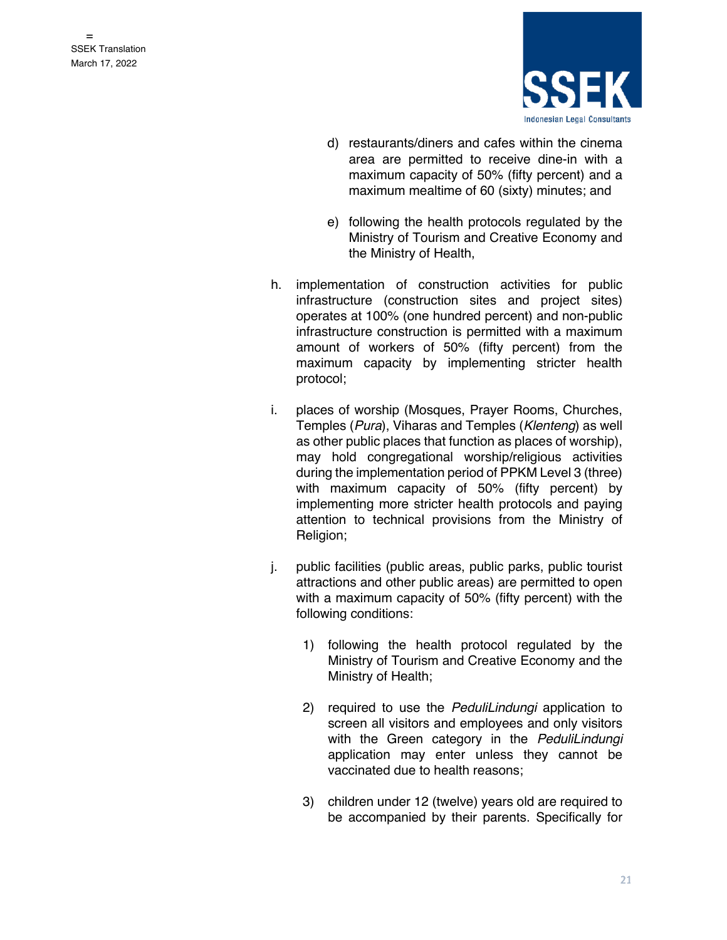

- d) restaurants/diners and cafes within the cinema area are permitted to receive dine-in with a maximum capacity of 50% (fifty percent) and a maximum mealtime of 60 (sixty) minutes; and
- e) following the health protocols regulated by the Ministry of Tourism and Creative Economy and the Ministry of Health,
- h. implementation of construction activities for public infrastructure (construction sites and project sites) operates at 100% (one hundred percent) and non-public infrastructure construction is permitted with a maximum amount of workers of 50% (fifty percent) from the maximum capacity by implementing stricter health protocol;
- i. places of worship (Mosques, Prayer Rooms, Churches, Temples (*Pura*), Viharas and Temples (*Klenteng*) as well as other public places that function as places of worship), may hold congregational worship/religious activities during the implementation period of PPKM Level 3 (three) with maximum capacity of 50% (fifty percent) by implementing more stricter health protocols and paying attention to technical provisions from the Ministry of Religion;
- j. public facilities (public areas, public parks, public tourist attractions and other public areas) are permitted to open with a maximum capacity of 50% (fifty percent) with the following conditions:
	- 1) following the health protocol regulated by the Ministry of Tourism and Creative Economy and the Ministry of Health;
	- 2) required to use the *PeduliLindungi* application to screen all visitors and employees and only visitors with the Green category in the *PeduliLindungi*  application may enter unless they cannot be vaccinated due to health reasons;
	- 3) children under 12 (twelve) years old are required to be accompanied by their parents. Specifically for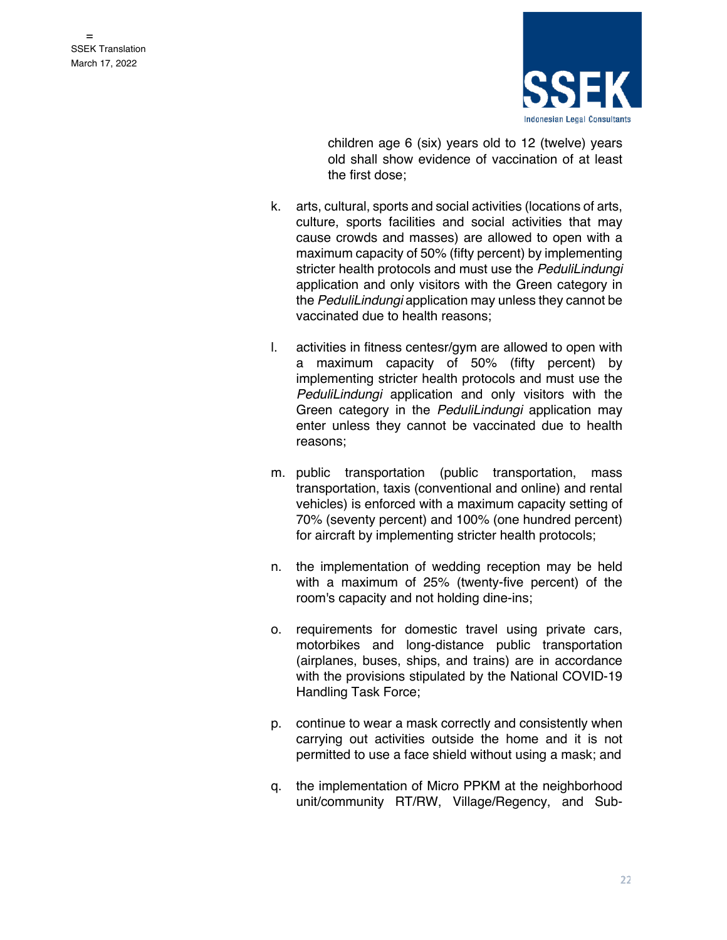

children age 6 (six) years old to 12 (twelve) years old shall show evidence of vaccination of at least the first dose;

- k. arts, cultural, sports and social activities (locations of arts, culture, sports facilities and social activities that may cause crowds and masses) are allowed to open with a maximum capacity of 50% (fifty percent) by implementing stricter health protocols and must use the *PeduliLindungi* application and only visitors with the Green category in the *PeduliLindungi* application may unless they cannot be vaccinated due to health reasons;
- l. activities in fitness centesr/gym are allowed to open with a maximum capacity of 50% (fifty percent) by implementing stricter health protocols and must use the *PeduliLindungi* application and only visitors with the Green category in the *PeduliLindungi* application may enter unless they cannot be vaccinated due to health reasons;
- m. public transportation (public transportation, mass transportation, taxis (conventional and online) and rental vehicles) is enforced with a maximum capacity setting of 70% (seventy percent) and 100% (one hundred percent) for aircraft by implementing stricter health protocols;
- n. the implementation of wedding reception may be held with a maximum of 25% (twenty-five percent) of the room's capacity and not holding dine-ins;
- o. requirements for domestic travel using private cars, motorbikes and long-distance public transportation (airplanes, buses, ships, and trains) are in accordance with the provisions stipulated by the National COVID-19 Handling Task Force;
- p. continue to wear a mask correctly and consistently when carrying out activities outside the home and it is not permitted to use a face shield without using a mask; and
- q. the implementation of Micro PPKM at the neighborhood unit/community RT/RW, Village/Regency, and Sub-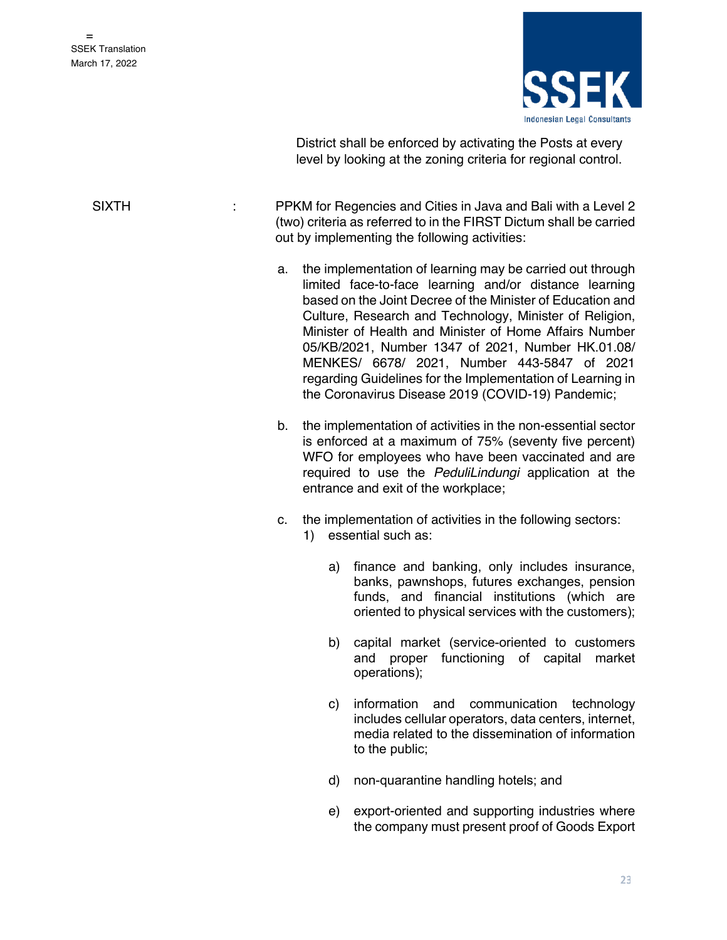

District shall be enforced by activating the Posts at every level by looking at the zoning criteria for regional control.

SIXTH *EXALL SIXTH* **EXALL:** PPKM for Regencies and Cities in Java and Bali with a Level 2 (two) criteria as referred to in the FIRST Dictum shall be carried out by implementing the following activities:

- a. the implementation of learning may be carried out through limited face-to-face learning and/or distance learning based on the Joint Decree of the Minister of Education and Culture, Research and Technology, Minister of Religion, Minister of Health and Minister of Home Affairs Number 05/KB/2021, Number 1347 of 2021, Number HK.01.08/ MENKES/ 6678/ 2021, Number 443-5847 of 2021 regarding Guidelines for the Implementation of Learning in the Coronavirus Disease 2019 (COVID-19) Pandemic;
- b. the implementation of activities in the non-essential sector is enforced at a maximum of 75% (seventy five percent) WFO for employees who have been vaccinated and are required to use the *PeduliLindungi* application at the entrance and exit of the workplace;
- c. the implementation of activities in the following sectors:
	- 1) essential such as:
		- a) finance and banking, only includes insurance, banks, pawnshops, futures exchanges, pension funds, and financial institutions (which are oriented to physical services with the customers);
		- b) capital market (service-oriented to customers and proper functioning of capital market operations);
		- c) information and communication technology includes cellular operators, data centers, internet, media related to the dissemination of information to the public;
		- d) non-quarantine handling hotels; and
		- e) export-oriented and supporting industries where the company must present proof of Goods Export

23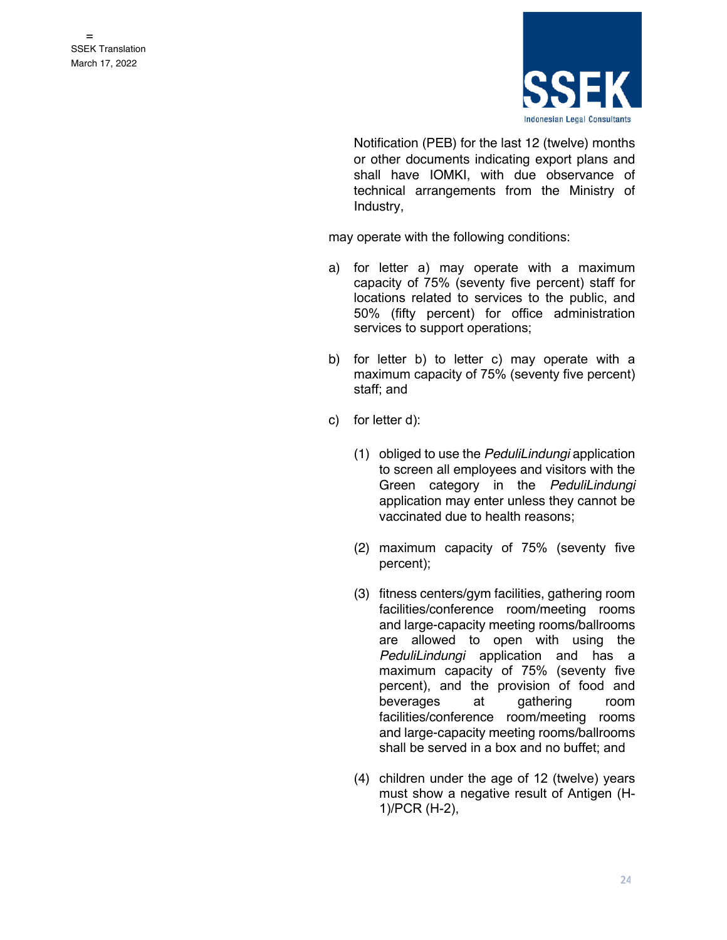

Notification (PEB) for the last 12 (twelve) months or other documents indicating export plans and shall have IOMKI, with due observance of technical arrangements from the Ministry of Industry,

may operate with the following conditions:

- a) for letter a) may operate with a maximum capacity of 75% (seventy five percent) staff for locations related to services to the public, and 50% (fifty percent) for office administration services to support operations;
- b) for letter b) to letter c) may operate with a maximum capacity of 75% (seventy five percent) staff; and
- c) for letter d):
	- (1) obliged to use the *PeduliLindungi* application to screen all employees and visitors with the Green category in the *PeduliLindungi* application may enter unless they cannot be vaccinated due to health reasons;
	- (2) maximum capacity of 75% (seventy five percent);
	- (3) fitness centers/gym facilities, gathering room facilities/conference room/meeting rooms and large-capacity meeting rooms/ballrooms are allowed to open with using the *PeduliLindungi* application and has a maximum capacity of 75% (seventy five percent), and the provision of food and beverages at gathering room facilities/conference room/meeting rooms and large-capacity meeting rooms/ballrooms shall be served in a box and no buffet; and
	- (4) children under the age of 12 (twelve) years must show a negative result of Antigen (H-1)/PCR (H-2),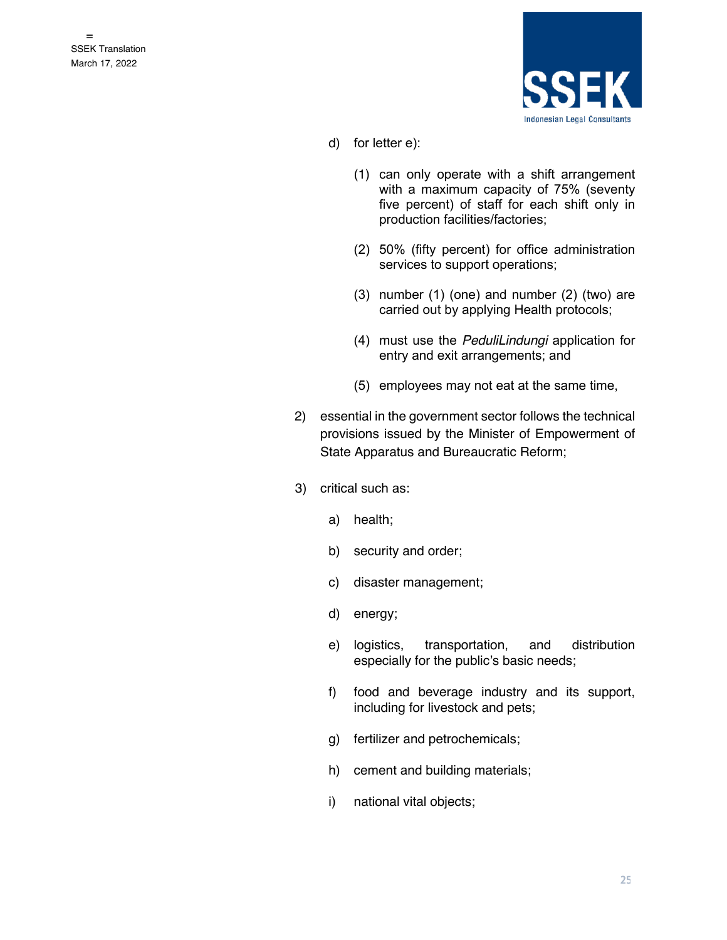

- d) for letter e):
	- (1) can only operate with a shift arrangement with a maximum capacity of 75% (seventy five percent) of staff for each shift only in production facilities/factories;
	- (2) 50% (fifty percent) for office administration services to support operations;
	- (3) number (1) (one) and number (2) (two) are carried out by applying Health protocols;
	- (4) must use the *PeduliLindungi* application for entry and exit arrangements; and
	- (5) employees may not eat at the same time,
- 2) essential in the government sector follows the technical provisions issued by the Minister of Empowerment of State Apparatus and Bureaucratic Reform;
- 3) critical such as:
	- a) health;
	- b) security and order;
	- c) disaster management;
	- d) energy;
	- e) logistics, transportation, and distribution especially for the public's basic needs;
	- f) food and beverage industry and its support, including for livestock and pets;
	- g) fertilizer and petrochemicals;
	- h) cement and building materials;
	- i) national vital objects;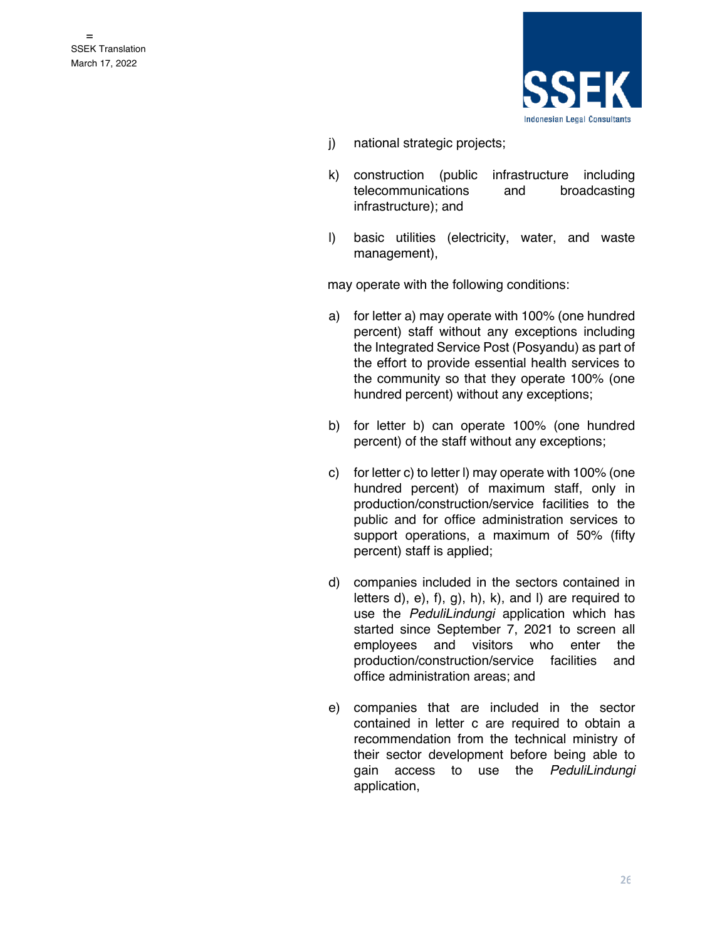

- j) national strategic projects;
- k) construction (public infrastructure including telecommunications and broadcasting infrastructure); and
- l) basic utilities (electricity, water, and waste management),

may operate with the following conditions:

- a) for letter a) may operate with 100% (one hundred percent) staff without any exceptions including the Integrated Service Post (Posyandu) as part of the effort to provide essential health services to the community so that they operate 100% (one hundred percent) without any exceptions;
- b) for letter b) can operate 100% (one hundred percent) of the staff without any exceptions;
- c) for letter c) to letter l) may operate with 100% (one hundred percent) of maximum staff, only in production/construction/service facilities to the public and for office administration services to support operations, a maximum of 50% (fifty percent) staff is applied;
- d) companies included in the sectors contained in letters  $d$ ,  $e$ ,  $f$ ,  $g$ ,  $h$ ,  $k$ ,  $h$ ,  $e$ ,  $h$  and  $h$  are required to use the *PeduliLindungi* application which has started since September 7, 2021 to screen all employees and visitors who enter the production/construction/service facilities and office administration areas; and
- e) companies that are included in the sector contained in letter c are required to obtain a recommendation from the technical ministry of their sector development before being able to gain access to use the *PeduliLindungi* application,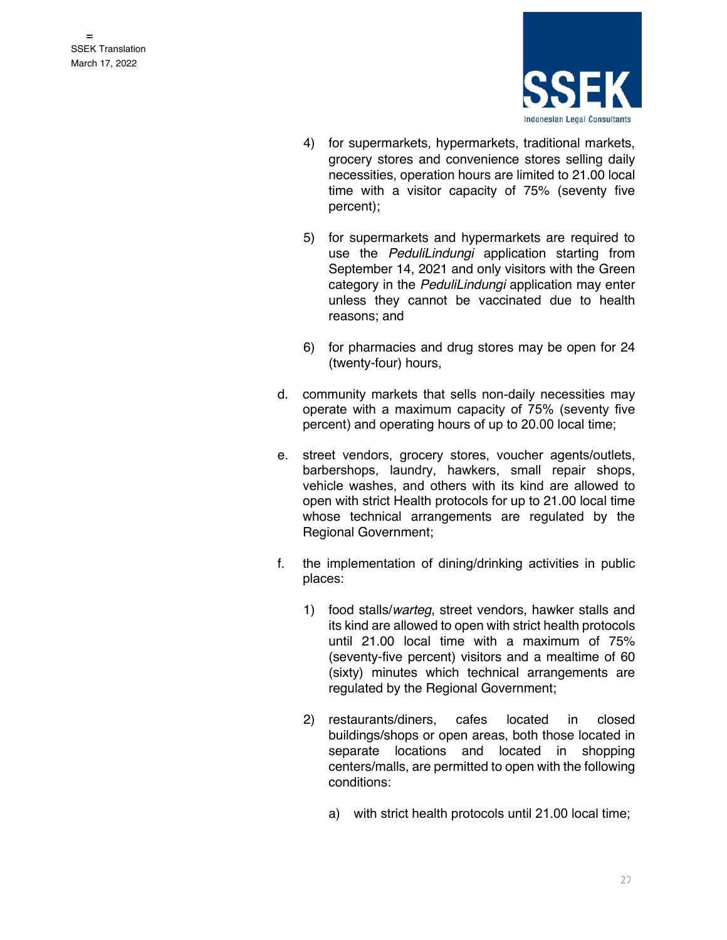

- 4) for supermarkets, hypermarkets, traditional markets, grocery stores and convenience stores selling daily necessities, operation hours are limited to 21.00 local time with a visitor capacity of 75% (seventy five percent);
- 5) for supermarkets and hypermarkets are required to use the *PeduliLindungi* application starting from September 14, 2021 and only visitors with the Green category in the *PeduliLindungi* application may enter unless they cannot be vaccinated due to health reasons; and
- 6) for pharmacies and drug stores may be open for 24 (twenty-four) hours,
- d. community markets that sells non-daily necessities may operate with a maximum capacity of 75% (seventy five percent) and operating hours of up to 20.00 local time;
- e. street vendors, grocery stores, voucher agents/outlets, barbershops, laundry, hawkers, small repair shops, vehicle washes, and others with its kind are allowed to open with strict Health protocols for up to 21.00 local time whose technical arrangements are regulated by the Regional Government;
- f. the implementation of dining/drinking activities in public places:
	- 1) food stalls/*warteg*, street vendors, hawker stalls and its kind are allowed to open with strict health protocols until 21.00 local time with a maximum of 75% (seventy-five percent) visitors and a mealtime of 60 (sixty) minutes which technical arrangements are regulated by the Regional Government;
	- 2) restaurants/diners, cafes located in closed buildings/shops or open areas, both those located in separate locations and located in shopping centers/malls, are permitted to open with the following conditions:
		- a) with strict health protocols until 21.00 local time;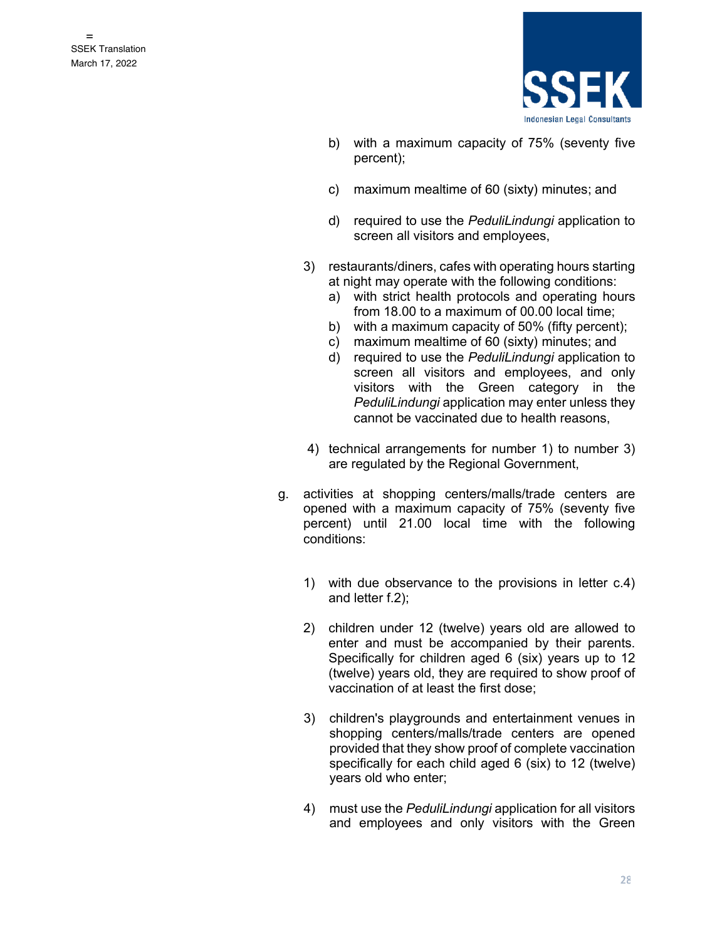

- b) with a maximum capacity of 75% (seventy five percent);
- c) maximum mealtime of 60 (sixty) minutes; and
- d) required to use the *PeduliLindungi* application to screen all visitors and employees,
- 3) restaurants/diners, cafes with operating hours starting at night may operate with the following conditions:
	- a) with strict health protocols and operating hours from 18.00 to a maximum of 00.00 local time;
	- b) with a maximum capacity of 50% (fifty percent);
	- c) maximum mealtime of 60 (sixty) minutes; and
	- d) required to use the *PeduliLindungi* application to screen all visitors and employees, and only visitors with the Green category in the *PeduliLindungi* application may enter unless they cannot be vaccinated due to health reasons,
- 4) technical arrangements for number 1) to number 3) are regulated by the Regional Government,
- g. activities at shopping centers/malls/trade centers are opened with a maximum capacity of 75% (seventy five percent) until 21.00 local time with the following conditions:
	- 1) with due observance to the provisions in letter c.4) and letter f.2);
	- 2) children under 12 (twelve) years old are allowed to enter and must be accompanied by their parents. Specifically for children aged 6 (six) years up to 12 (twelve) years old, they are required to show proof of vaccination of at least the first dose;
	- 3) children's playgrounds and entertainment venues in shopping centers/malls/trade centers are opened provided that they show proof of complete vaccination specifically for each child aged 6 (six) to 12 (twelve) years old who enter;
	- 4) must use the *PeduliLindungi* application for all visitors and employees and only visitors with the Green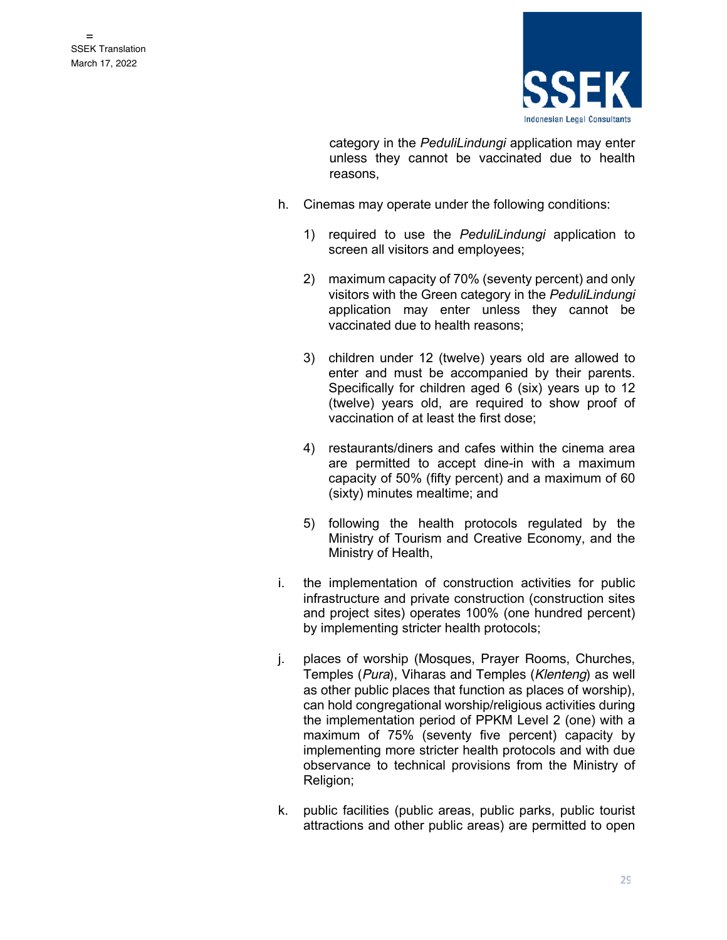

category in the *PeduliLindungi* application may enter unless they cannot be vaccinated due to health reasons,

- h. Cinemas may operate under the following conditions:
	- 1) required to use the *PeduliLindungi* application to screen all visitors and employees;
	- 2) maximum capacity of 70% (seventy percent) and only visitors with the Green category in the *PeduliLindungi* application may enter unless they cannot be vaccinated due to health reasons;
	- 3) children under 12 (twelve) years old are allowed to enter and must be accompanied by their parents. Specifically for children aged 6 (six) years up to 12 (twelve) years old, are required to show proof of vaccination of at least the first dose;
	- 4) restaurants/diners and cafes within the cinema area are permitted to accept dine-in with a maximum capacity of 50% (fifty percent) and a maximum of 60 (sixty) minutes mealtime; and
	- 5) following the health protocols regulated by the Ministry of Tourism and Creative Economy, and the Ministry of Health,
- i. the implementation of construction activities for public infrastructure and private construction (construction sites and project sites) operates 100% (one hundred percent) by implementing stricter health protocols;
- j. places of worship (Mosques, Prayer Rooms, Churches, Temples (*Pura*), Viharas and Temples (*Klenteng*) as well as other public places that function as places of worship), can hold congregational worship/religious activities during the implementation period of PPKM Level 2 (one) with a maximum of 75% (seventy five percent) capacity by implementing more stricter health protocols and with due observance to technical provisions from the Ministry of Religion;
- k. public facilities (public areas, public parks, public tourist attractions and other public areas) are permitted to open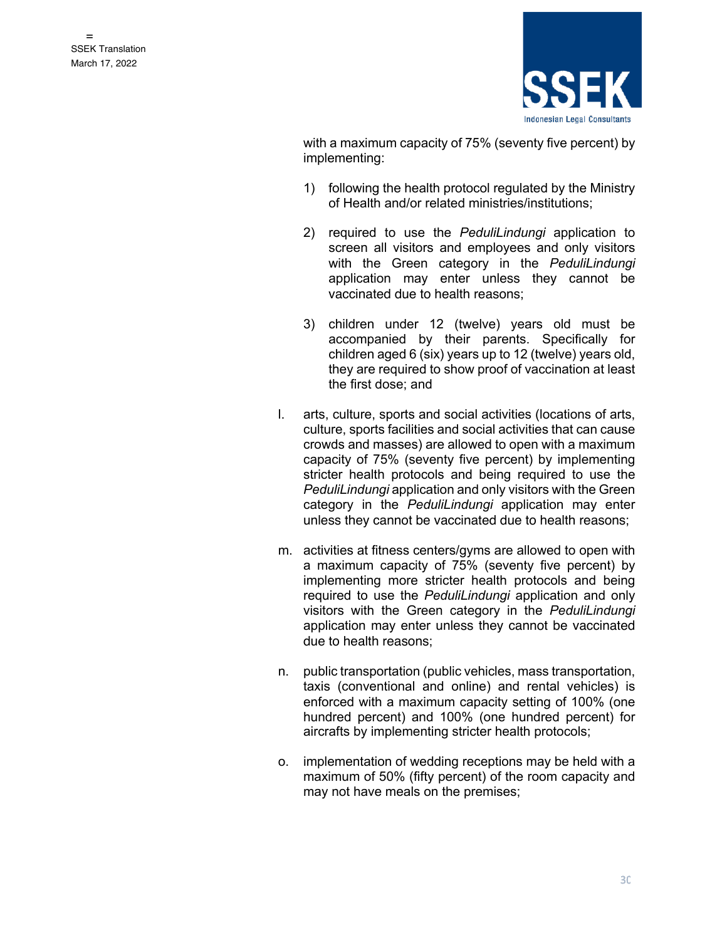

with a maximum capacity of 75% (seventy five percent) by implementing:

- 1) following the health protocol regulated by the Ministry of Health and/or related ministries/institutions;
- 2) required to use the *PeduliLindungi* application to screen all visitors and employees and only visitors with the Green category in the *PeduliLindungi* application may enter unless they cannot be vaccinated due to health reasons;
- 3) children under 12 (twelve) years old must be accompanied by their parents. Specifically for children aged 6 (six) years up to 12 (twelve) years old, they are required to show proof of vaccination at least the first dose; and
- l. arts, culture, sports and social activities (locations of arts, culture, sports facilities and social activities that can cause crowds and masses) are allowed to open with a maximum capacity of 75% (seventy five percent) by implementing stricter health protocols and being required to use the *PeduliLindungi* application and only visitors with the Green category in the *PeduliLindungi* application may enter unless they cannot be vaccinated due to health reasons;
- m. activities at fitness centers/gyms are allowed to open with a maximum capacity of 75% (seventy five percent) by implementing more stricter health protocols and being required to use the *PeduliLindungi* application and only visitors with the Green category in the *PeduliLindungi* application may enter unless they cannot be vaccinated due to health reasons;
- n. public transportation (public vehicles, mass transportation, taxis (conventional and online) and rental vehicles) is enforced with a maximum capacity setting of 100% (one hundred percent) and 100% (one hundred percent) for aircrafts by implementing stricter health protocols;
- o. implementation of wedding receptions may be held with a maximum of 50% (fifty percent) of the room capacity and may not have meals on the premises;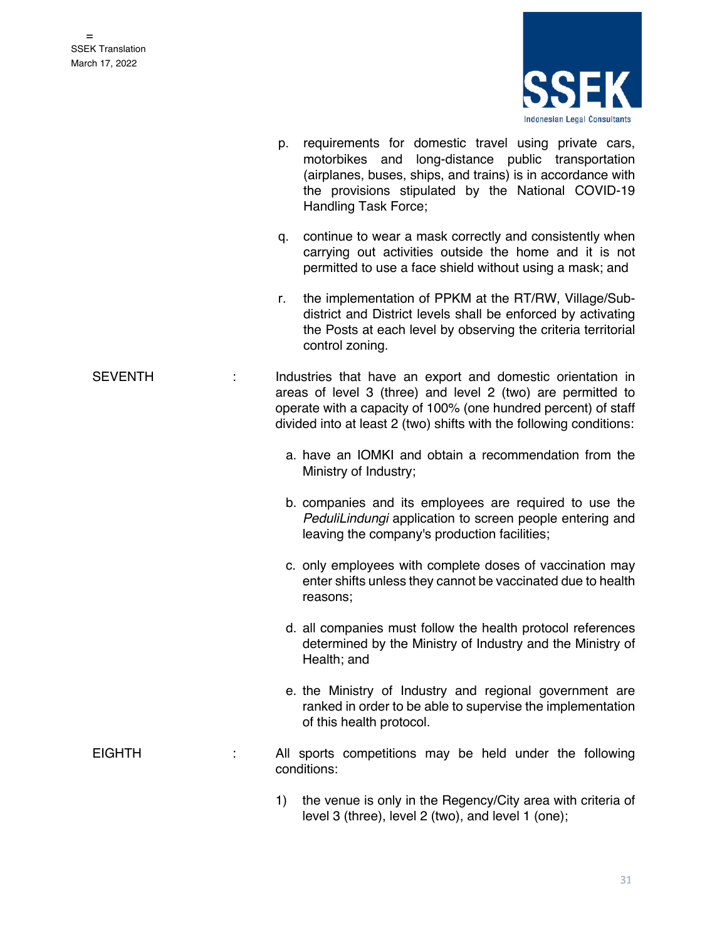

|                | p. requirements for domestic travel using private cars,<br>motorbikes and long-distance public transportation<br>(airplanes, buses, ships, and trains) is in accordance with<br>the provisions stipulated by the National COVID-19<br>Handling Task Force;         |
|----------------|--------------------------------------------------------------------------------------------------------------------------------------------------------------------------------------------------------------------------------------------------------------------|
|                | continue to wear a mask correctly and consistently when<br>q.<br>carrying out activities outside the home and it is not<br>permitted to use a face shield without using a mask; and                                                                                |
|                | the implementation of PPKM at the RT/RW, Village/Sub-<br>r.<br>district and District levels shall be enforced by activating<br>the Posts at each level by observing the criteria territorial<br>control zoning.                                                    |
| <b>SEVENTH</b> | Industries that have an export and domestic orientation in<br>areas of level 3 (three) and level 2 (two) are permitted to<br>operate with a capacity of 100% (one hundred percent) of staff<br>divided into at least 2 (two) shifts with the following conditions: |
|                | a. have an IOMKI and obtain a recommendation from the<br>Ministry of Industry;                                                                                                                                                                                     |
|                | b. companies and its employees are required to use the<br>PeduliLindungi application to screen people entering and<br>leaving the company's production facilities;                                                                                                 |
|                | c. only employees with complete doses of vaccination may<br>enter shifts unless they cannot be vaccinated due to health<br>reasons;                                                                                                                                |
|                | d. all companies must follow the health protocol references<br>determined by the Ministry of Industry and the Ministry of<br>Health; and                                                                                                                           |
|                | e. the Ministry of Industry and regional government are<br>ranked in order to be able to supervise the implementation<br>of this health protocol.                                                                                                                  |
| <b>EIGHTH</b>  | All sports competitions may be held under the following<br>conditions:                                                                                                                                                                                             |
|                | the venue is only in the Regency/City area with criteria of<br>1)                                                                                                                                                                                                  |

level 3 (three), level 2 (two), and level 1 (one);

31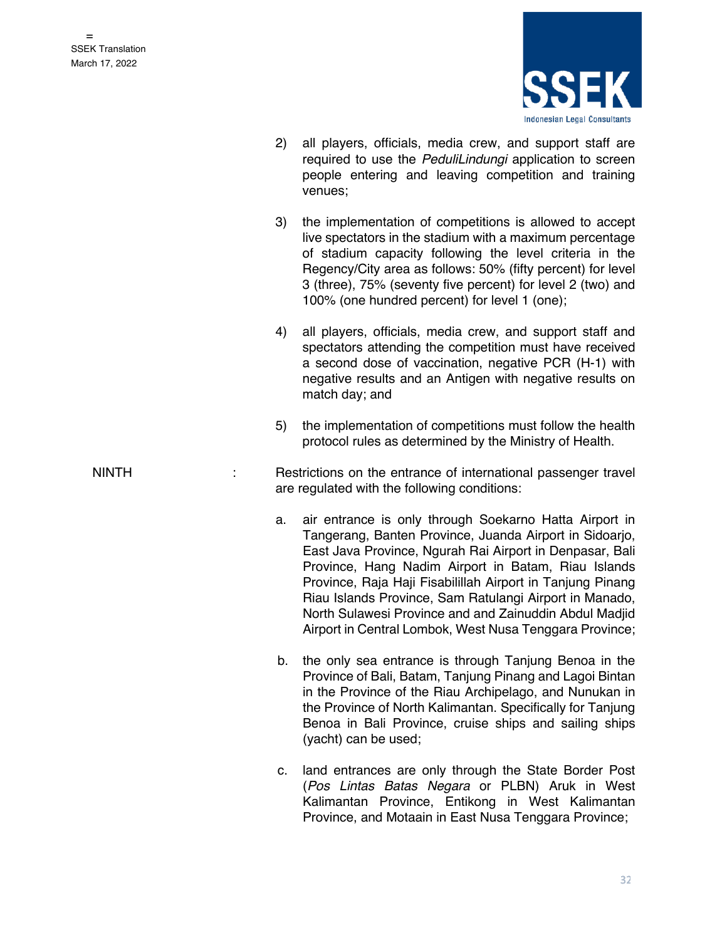

- 2) all players, officials, media crew, and support staff are required to use the *PeduliLindungi* application to screen people entering and leaving competition and training venues;
- 3) the implementation of competitions is allowed to accept live spectators in the stadium with a maximum percentage of stadium capacity following the level criteria in the Regency/City area as follows: 50% (fifty percent) for level 3 (three), 75% (seventy five percent) for level 2 (two) and 100% (one hundred percent) for level 1 (one);
- 4) all players, officials, media crew, and support staff and spectators attending the competition must have received a second dose of vaccination, negative PCR (H-1) with negative results and an Antigen with negative results on match day; and
- 5) the implementation of competitions must follow the health protocol rules as determined by the Ministry of Health.
- NINTH : Restrictions on the entrance of international passenger travel are regulated with the following conditions:
	- a. air entrance is only through Soekarno Hatta Airport in Tangerang, Banten Province, Juanda Airport in Sidoarjo, East Java Province, Ngurah Rai Airport in Denpasar, Bali Province, Hang Nadim Airport in Batam, Riau Islands Province, Raja Haji Fisabilillah Airport in Tanjung Pinang Riau Islands Province, Sam Ratulangi Airport in Manado, North Sulawesi Province and and Zainuddin Abdul Madjid Airport in Central Lombok, West Nusa Tenggara Province;
	- b. the only sea entrance is through Tanjung Benoa in the Province of Bali, Batam, Tanjung Pinang and Lagoi Bintan in the Province of the Riau Archipelago, and Nunukan in the Province of North Kalimantan. Specifically for Tanjung Benoa in Bali Province, cruise ships and sailing ships (yacht) can be used;
	- c. land entrances are only through the State Border Post (*Pos Lintas Batas Negara* or PLBN) Aruk in West Kalimantan Province, Entikong in West Kalimantan Province, and Motaain in East Nusa Tenggara Province;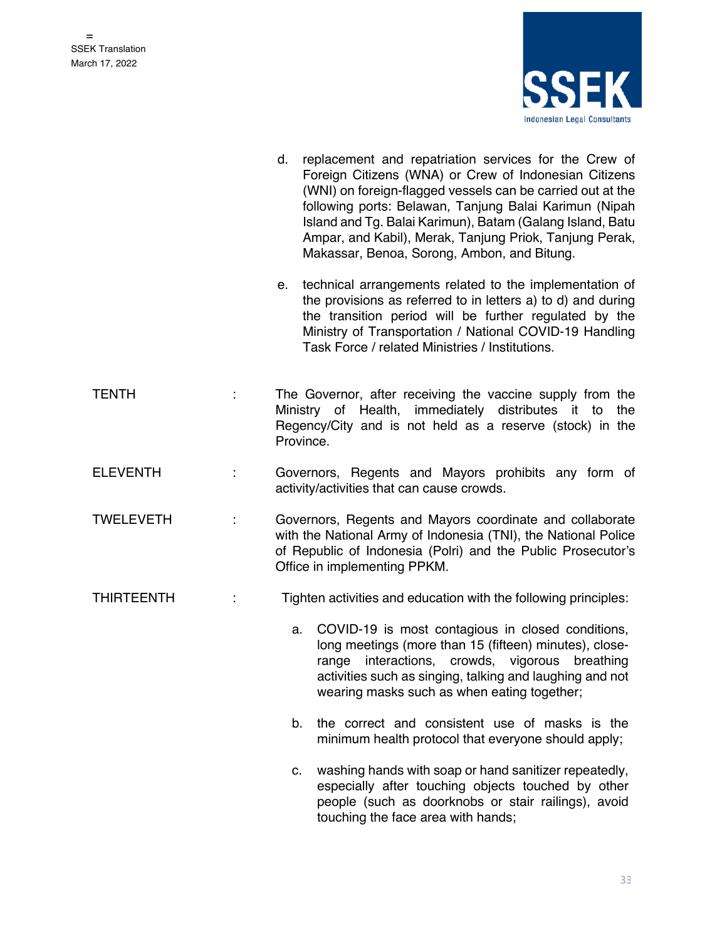

- d. replacement and repatriation services for the Crew of Foreign Citizens (WNA) or Crew of Indonesian Citizens (WNI) on foreign-flagged vessels can be carried out at the following ports: Belawan, Tanjung Balai Karimun (Nipah Island and Tg. Balai Karimun), Batam (Galang Island, Batu Ampar, and Kabil), Merak, Tanjung Priok, Tanjung Perak, Makassar, Benoa, Sorong, Ambon, and Bitung.
	- e. technical arrangements related to the implementation of the provisions as referred to in letters a) to d) and during the transition period will be further regulated by the Ministry of Transportation / National COVID-19 Handling Task Force / related Ministries / Institutions.
- TENTH : The Governor, after receiving the vaccine supply from the Ministry of Health, immediately distributes it to the Regency/City and is not held as a reserve (stock) in the Province.
- ELEVENTH : Governors, Regents and Mayors prohibits any form of activity/activities that can cause crowds.
- TWELEVETH : Governors, Regents and Mayors coordinate and collaborate with the National Army of Indonesia (TNI), the National Police of Republic of Indonesia (Polri) and the Public Prosecutor's Office in implementing PPKM.
- THIRTEENTH : Tighten activities and education with the following principles:

a. COVID-19 is most contagious in closed conditions, long meetings (more than 15 (fifteen) minutes), closerange interactions, crowds, vigorous breathing activities such as singing, talking and laughing and not wearing masks such as when eating together;

- b. the correct and consistent use of masks is the minimum health protocol that everyone should apply;
- c. washing hands with soap or hand sanitizer repeatedly, especially after touching objects touched by other people (such as doorknobs or stair railings), avoid touching the face area with hands;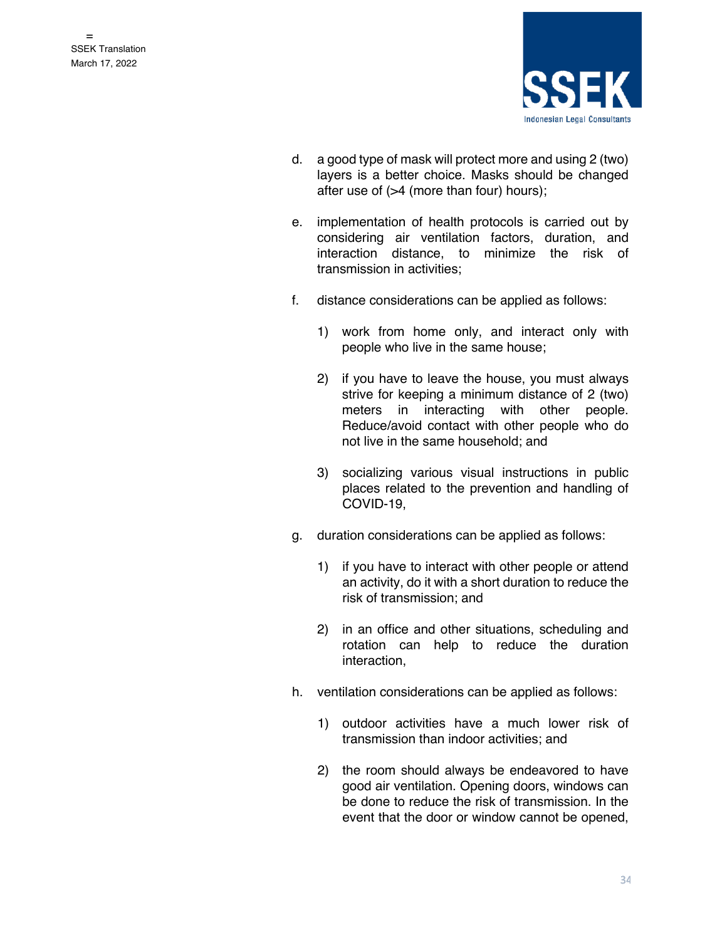

- d. a good type of mask will protect more and using 2 (two) layers is a better choice. Masks should be changed after use of (>4 (more than four) hours);
- e. implementation of health protocols is carried out by considering air ventilation factors, duration, and interaction distance, to minimize the risk of transmission in activities;
- f. distance considerations can be applied as follows:
	- 1) work from home only, and interact only with people who live in the same house;
	- 2) if you have to leave the house, you must always strive for keeping a minimum distance of 2 (two) meters in interacting with other people. Reduce/avoid contact with other people who do not live in the same household; and
	- 3) socializing various visual instructions in public places related to the prevention and handling of COVID-19,
- g. duration considerations can be applied as follows:
	- 1) if you have to interact with other people or attend an activity, do it with a short duration to reduce the risk of transmission; and
	- 2) in an office and other situations, scheduling and rotation can help to reduce the duration interaction,
- h. ventilation considerations can be applied as follows:
	- 1) outdoor activities have a much lower risk of transmission than indoor activities; and
	- 2) the room should always be endeavored to have good air ventilation. Opening doors, windows can be done to reduce the risk of transmission. In the event that the door or window cannot be opened,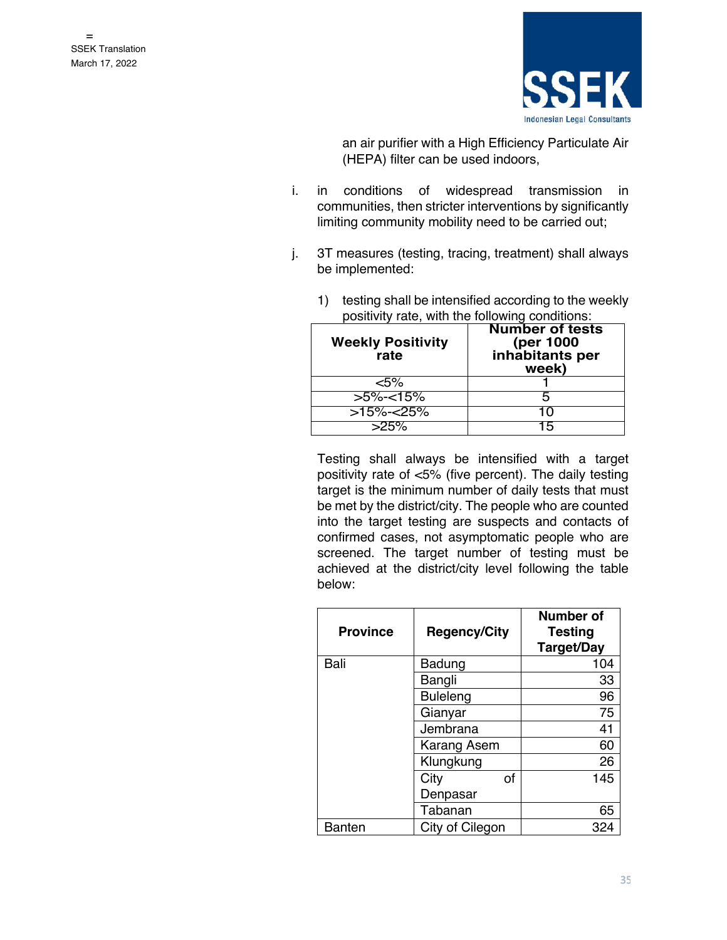

an air purifier with a High Efficiency Particulate Air (HEPA) filter can be used indoors,

- i. in conditions of widespread transmission in communities, then stricter interventions by significantly limiting community mobility need to be carried out;
- j. 3T measures (testing, tracing, treatment) shall always be implemented:

| <b>Weekly Positivity</b><br>rate | <b>Number of tests</b><br>(per 1000<br>inhabitants per<br>week) |  |  |
|----------------------------------|-----------------------------------------------------------------|--|--|
| 5%>                              |                                                                 |  |  |
| $>5\%<15\%$                      |                                                                 |  |  |
| $>15\%<25\%$                     | '''                                                             |  |  |
| $>25\%$                          | 15                                                              |  |  |

1) testing shall be intensified according to the weekly positivity rate, with the following conditions:

Testing shall always be intensified with a target positivity rate of <5% (five percent). The daily testing target is the minimum number of daily tests that must be met by the district/city. The people who are counted into the target testing are suspects and contacts of confirmed cases, not asymptomatic people who are screened. The target number of testing must be achieved at the district/city level following the table below:

| <b>Province</b> | <b>Regency/City</b> | <b>Number of</b><br><b>Testing</b><br>Target/Day |
|-----------------|---------------------|--------------------------------------------------|
| Bali            | Badung              | 104                                              |
|                 | Bangli              | 33                                               |
|                 | <b>Buleleng</b>     | 96                                               |
|                 | Gianyar             | 75                                               |
|                 | Jembrana            | 41                                               |
|                 | Karang Asem         | 60                                               |
|                 | Klungkung           | 26                                               |
|                 | οf<br>City          | 145                                              |
|                 | Denpasar            |                                                  |
|                 | Tabanan             | 65                                               |
| Banten          | City of Cilegon     | 324                                              |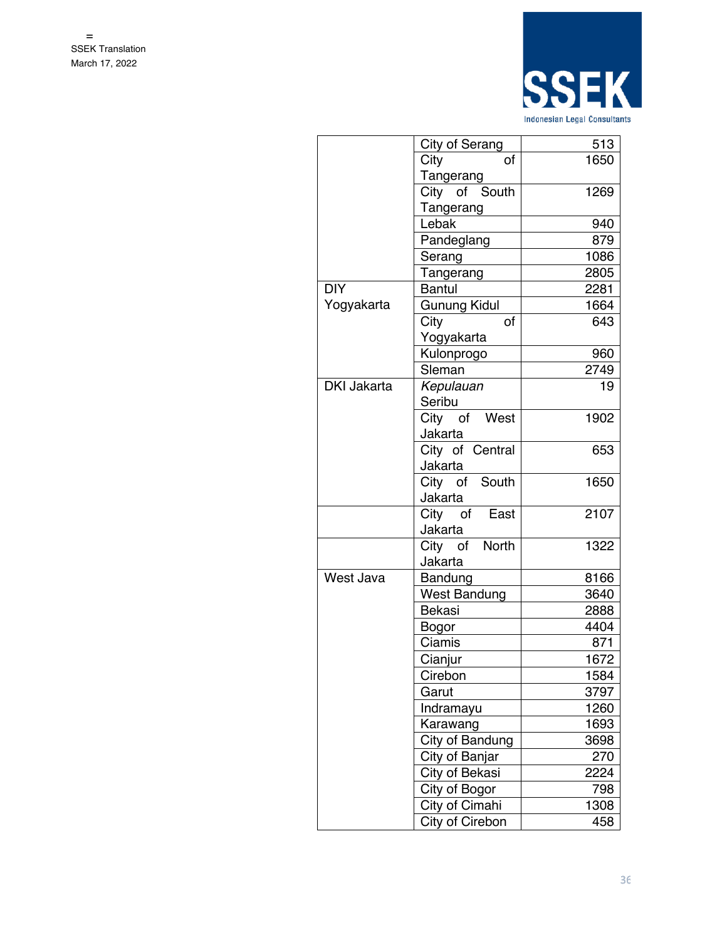

| 513<br>City of Serang<br>1650<br>City<br>of<br>Tangerang<br>City of South<br>1269<br>Tangerang<br>Lebak<br>940<br>879<br>Pandeglang<br>1086<br>Serang<br>2805<br>Tangerang<br><b>DIY</b><br>2281<br><b>Bantul</b><br>Yogyakarta<br>Gunung Kidul<br>1664<br>City<br>οf<br>643<br>Yogyakarta<br>Kulonprogo<br>960<br>Sleman<br>2749<br><b>DKI Jakarta</b><br>Kepulauan<br>19<br>Seribu<br>City of West<br>1902<br>Jakarta<br>City of Central<br>653<br>Jakarta<br>City of South<br>1650<br>Jakarta<br>City of East<br>2107<br>Jakarta<br>City of North<br>1322<br>Jakarta<br>West Java<br>Bandung<br>8166<br><b>West Bandung</b><br>3640<br>Bekasi<br>2888<br>4404<br>Bogor<br>Ciamis<br>871<br>Cianjur<br>1672<br>Cirebon<br>1584<br>Garut<br>3797<br>1260<br>Indramayu<br>Karawang<br>1693<br>City of Bandung<br>3698<br>City of Banjar<br>270<br>City of Bekasi<br>2224<br>City of Bogor<br>798<br>City of Cimahi<br>1308<br>City of Cirebon<br>458 |  |  |
|------------------------------------------------------------------------------------------------------------------------------------------------------------------------------------------------------------------------------------------------------------------------------------------------------------------------------------------------------------------------------------------------------------------------------------------------------------------------------------------------------------------------------------------------------------------------------------------------------------------------------------------------------------------------------------------------------------------------------------------------------------------------------------------------------------------------------------------------------------------------------------------------------------------------------------------------------|--|--|
|                                                                                                                                                                                                                                                                                                                                                                                                                                                                                                                                                                                                                                                                                                                                                                                                                                                                                                                                                      |  |  |
|                                                                                                                                                                                                                                                                                                                                                                                                                                                                                                                                                                                                                                                                                                                                                                                                                                                                                                                                                      |  |  |
|                                                                                                                                                                                                                                                                                                                                                                                                                                                                                                                                                                                                                                                                                                                                                                                                                                                                                                                                                      |  |  |
|                                                                                                                                                                                                                                                                                                                                                                                                                                                                                                                                                                                                                                                                                                                                                                                                                                                                                                                                                      |  |  |
|                                                                                                                                                                                                                                                                                                                                                                                                                                                                                                                                                                                                                                                                                                                                                                                                                                                                                                                                                      |  |  |
|                                                                                                                                                                                                                                                                                                                                                                                                                                                                                                                                                                                                                                                                                                                                                                                                                                                                                                                                                      |  |  |
|                                                                                                                                                                                                                                                                                                                                                                                                                                                                                                                                                                                                                                                                                                                                                                                                                                                                                                                                                      |  |  |
|                                                                                                                                                                                                                                                                                                                                                                                                                                                                                                                                                                                                                                                                                                                                                                                                                                                                                                                                                      |  |  |
|                                                                                                                                                                                                                                                                                                                                                                                                                                                                                                                                                                                                                                                                                                                                                                                                                                                                                                                                                      |  |  |
|                                                                                                                                                                                                                                                                                                                                                                                                                                                                                                                                                                                                                                                                                                                                                                                                                                                                                                                                                      |  |  |
|                                                                                                                                                                                                                                                                                                                                                                                                                                                                                                                                                                                                                                                                                                                                                                                                                                                                                                                                                      |  |  |
|                                                                                                                                                                                                                                                                                                                                                                                                                                                                                                                                                                                                                                                                                                                                                                                                                                                                                                                                                      |  |  |
|                                                                                                                                                                                                                                                                                                                                                                                                                                                                                                                                                                                                                                                                                                                                                                                                                                                                                                                                                      |  |  |
|                                                                                                                                                                                                                                                                                                                                                                                                                                                                                                                                                                                                                                                                                                                                                                                                                                                                                                                                                      |  |  |
|                                                                                                                                                                                                                                                                                                                                                                                                                                                                                                                                                                                                                                                                                                                                                                                                                                                                                                                                                      |  |  |
|                                                                                                                                                                                                                                                                                                                                                                                                                                                                                                                                                                                                                                                                                                                                                                                                                                                                                                                                                      |  |  |
|                                                                                                                                                                                                                                                                                                                                                                                                                                                                                                                                                                                                                                                                                                                                                                                                                                                                                                                                                      |  |  |
|                                                                                                                                                                                                                                                                                                                                                                                                                                                                                                                                                                                                                                                                                                                                                                                                                                                                                                                                                      |  |  |
|                                                                                                                                                                                                                                                                                                                                                                                                                                                                                                                                                                                                                                                                                                                                                                                                                                                                                                                                                      |  |  |
|                                                                                                                                                                                                                                                                                                                                                                                                                                                                                                                                                                                                                                                                                                                                                                                                                                                                                                                                                      |  |  |
|                                                                                                                                                                                                                                                                                                                                                                                                                                                                                                                                                                                                                                                                                                                                                                                                                                                                                                                                                      |  |  |
|                                                                                                                                                                                                                                                                                                                                                                                                                                                                                                                                                                                                                                                                                                                                                                                                                                                                                                                                                      |  |  |
|                                                                                                                                                                                                                                                                                                                                                                                                                                                                                                                                                                                                                                                                                                                                                                                                                                                                                                                                                      |  |  |
|                                                                                                                                                                                                                                                                                                                                                                                                                                                                                                                                                                                                                                                                                                                                                                                                                                                                                                                                                      |  |  |
|                                                                                                                                                                                                                                                                                                                                                                                                                                                                                                                                                                                                                                                                                                                                                                                                                                                                                                                                                      |  |  |
|                                                                                                                                                                                                                                                                                                                                                                                                                                                                                                                                                                                                                                                                                                                                                                                                                                                                                                                                                      |  |  |
|                                                                                                                                                                                                                                                                                                                                                                                                                                                                                                                                                                                                                                                                                                                                                                                                                                                                                                                                                      |  |  |
|                                                                                                                                                                                                                                                                                                                                                                                                                                                                                                                                                                                                                                                                                                                                                                                                                                                                                                                                                      |  |  |
|                                                                                                                                                                                                                                                                                                                                                                                                                                                                                                                                                                                                                                                                                                                                                                                                                                                                                                                                                      |  |  |
|                                                                                                                                                                                                                                                                                                                                                                                                                                                                                                                                                                                                                                                                                                                                                                                                                                                                                                                                                      |  |  |
|                                                                                                                                                                                                                                                                                                                                                                                                                                                                                                                                                                                                                                                                                                                                                                                                                                                                                                                                                      |  |  |
|                                                                                                                                                                                                                                                                                                                                                                                                                                                                                                                                                                                                                                                                                                                                                                                                                                                                                                                                                      |  |  |
|                                                                                                                                                                                                                                                                                                                                                                                                                                                                                                                                                                                                                                                                                                                                                                                                                                                                                                                                                      |  |  |
|                                                                                                                                                                                                                                                                                                                                                                                                                                                                                                                                                                                                                                                                                                                                                                                                                                                                                                                                                      |  |  |
|                                                                                                                                                                                                                                                                                                                                                                                                                                                                                                                                                                                                                                                                                                                                                                                                                                                                                                                                                      |  |  |
|                                                                                                                                                                                                                                                                                                                                                                                                                                                                                                                                                                                                                                                                                                                                                                                                                                                                                                                                                      |  |  |
|                                                                                                                                                                                                                                                                                                                                                                                                                                                                                                                                                                                                                                                                                                                                                                                                                                                                                                                                                      |  |  |
|                                                                                                                                                                                                                                                                                                                                                                                                                                                                                                                                                                                                                                                                                                                                                                                                                                                                                                                                                      |  |  |
|                                                                                                                                                                                                                                                                                                                                                                                                                                                                                                                                                                                                                                                                                                                                                                                                                                                                                                                                                      |  |  |
|                                                                                                                                                                                                                                                                                                                                                                                                                                                                                                                                                                                                                                                                                                                                                                                                                                                                                                                                                      |  |  |
|                                                                                                                                                                                                                                                                                                                                                                                                                                                                                                                                                                                                                                                                                                                                                                                                                                                                                                                                                      |  |  |
|                                                                                                                                                                                                                                                                                                                                                                                                                                                                                                                                                                                                                                                                                                                                                                                                                                                                                                                                                      |  |  |
|                                                                                                                                                                                                                                                                                                                                                                                                                                                                                                                                                                                                                                                                                                                                                                                                                                                                                                                                                      |  |  |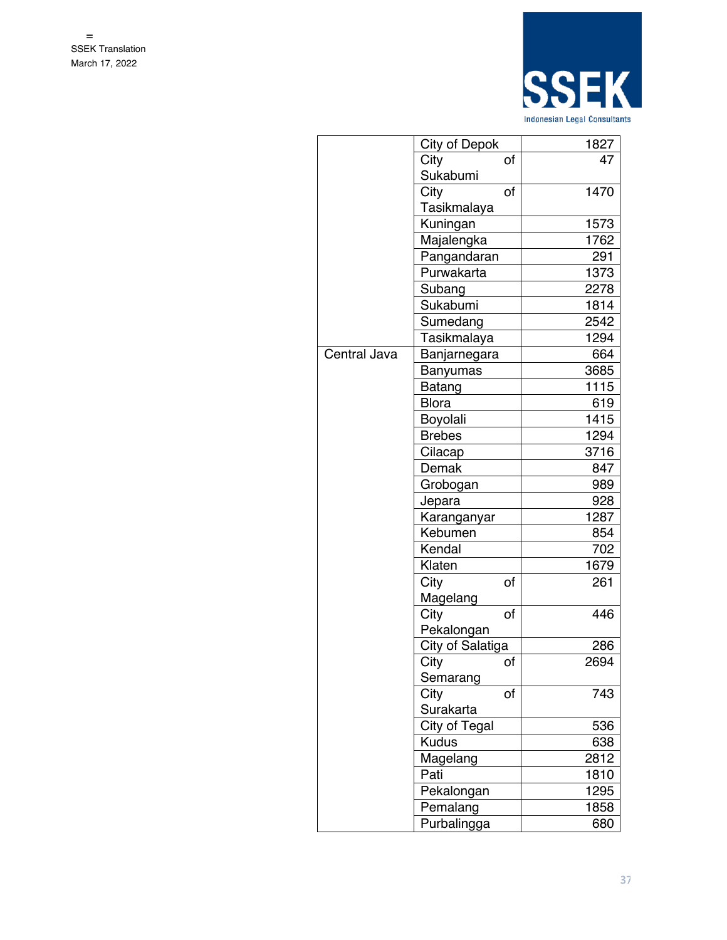

|              | City of Depok    |    | 1827 |
|--------------|------------------|----|------|
|              | City             | of | 47   |
|              | Sukabumi         |    |      |
|              | City             | of | 1470 |
|              | Tasikmalaya      |    |      |
|              | Kuningan         |    | 1573 |
|              | Majalengka       |    | 1762 |
|              | Pangandaran      |    | 291  |
|              | Purwakarta       |    | 1373 |
|              | Subang           |    | 2278 |
|              | Sukabumi         |    | 1814 |
|              | Sumedang         |    | 2542 |
|              | Tasikmalaya      |    | 1294 |
| Central Java | Banjarnegara     |    | 664  |
|              | Banyumas         |    | 3685 |
|              | Batang           |    | 1115 |
|              | <b>Blora</b>     |    | 619  |
|              | Boyolali         |    | 1415 |
|              | <b>Brebes</b>    |    | 1294 |
|              | Cilacap          |    | 3716 |
|              | Demak            |    | 847  |
|              | Grobogan         |    | 989  |
|              | Jepara           |    | 928  |
|              | Karanganyar      |    | 1287 |
|              | Kebumen          |    | 854  |
|              | Kendal           |    | 702  |
|              | Klaten           |    | 1679 |
|              | City             | of | 261  |
|              | Magelang         |    |      |
|              | City             | of | 446  |
|              | Pekalongan       |    |      |
|              | City of Salatiga |    | 286  |
|              | City             | οf | 2694 |
|              | Semarang         |    |      |
|              | City             | of | 743  |
|              | Surakarta        |    |      |
|              | City of Tegal    |    | 536  |
|              | <b>Kudus</b>     |    | 638  |
|              | Magelang         |    | 2812 |
|              | Pati             |    | 1810 |
|              | Pekalongan       |    | 1295 |
|              | Pemalang         |    | 1858 |
|              | Purbalingga      |    | 680  |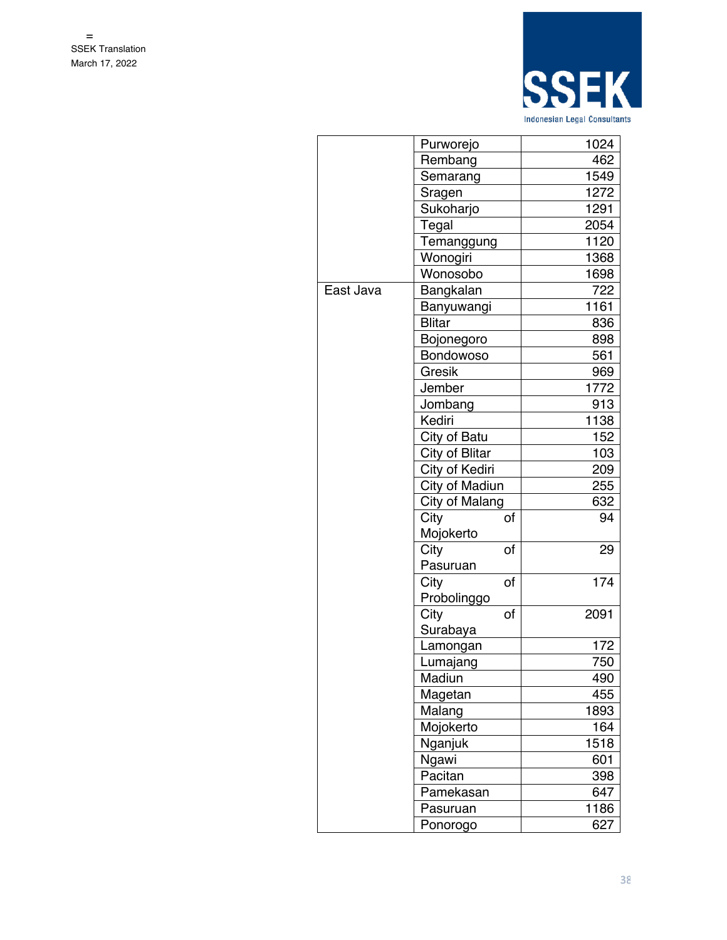

|           | Purworejo         |      | 1024 |  |
|-----------|-------------------|------|------|--|
|           | Rembang           | 462  |      |  |
|           | Semarang          |      | 1549 |  |
|           | Sragen            |      | 1272 |  |
|           | Sukoharjo         |      | 1291 |  |
|           | Tegal             |      | 2054 |  |
|           | <b>Temanggung</b> |      | 1120 |  |
|           | Wonogiri          | 1368 |      |  |
|           | Wonosobo          | 1698 |      |  |
| East Java | Bangkalan         |      | 722  |  |
|           | Banyuwangi        |      | 1161 |  |
|           | <b>Blitar</b>     |      | 836  |  |
|           | Bojonegoro        |      | 898  |  |
|           | Bondowoso         |      | 561  |  |
|           | Gresik            |      | 969  |  |
|           | Jember            |      | 1772 |  |
|           | Jombang           |      | 913  |  |
|           | Kediri            |      | 1138 |  |
|           | City of Batu      |      | 152  |  |
|           | City of Blitar    | 103  |      |  |
|           | City of Kediri    |      |      |  |
|           | City of Madiun    | 255  |      |  |
|           | City of Malang    | 632  |      |  |
|           | City              | of   | 94   |  |
|           | Mojokerto         |      |      |  |
|           | City              | οf   | 29   |  |
|           | Pasuruan          |      |      |  |
|           | City              | of   | 174  |  |
|           | Probolinggo       |      |      |  |
|           | City              | of   | 2091 |  |
|           | Surabaya          |      |      |  |
|           | Lamongan          |      | 172  |  |
|           | Lumajang          |      | 750  |  |
|           | Madiun            |      | 490  |  |
|           | Magetan           |      | 455  |  |
|           | Malang            |      | 1893 |  |
|           | Mojokerto         |      | 164  |  |
|           | Nganjuk           |      | 1518 |  |
|           | Ngawi             |      | 601  |  |
|           | Pacitan           | 398  |      |  |
|           | Pamekasan         | 647  |      |  |
|           | Pasuruan          |      | 1186 |  |
|           | Ponorogo          |      | 627  |  |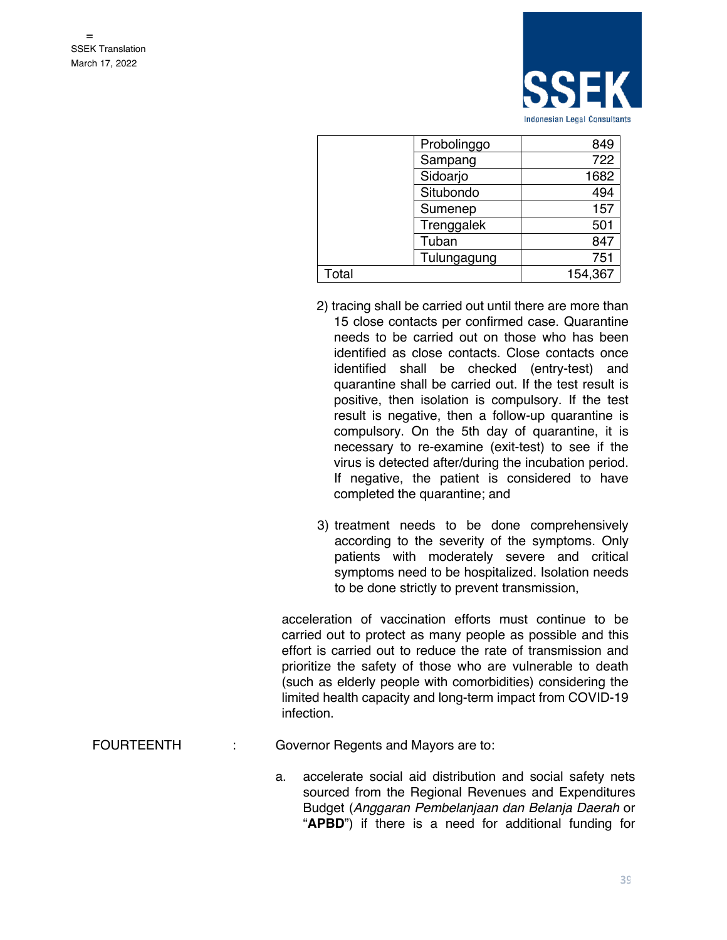

|       | Probolinggo | 849     |
|-------|-------------|---------|
|       | Sampang     | 722     |
|       | Sidoarjo    | 1682    |
|       | Situbondo   | 494     |
|       | Sumenep     | 157     |
|       | Trenggalek  | 501     |
|       | Tuban       | 847     |
|       | Tulungagung | 751     |
| Total |             | 154,367 |

- 2) tracing shall be carried out until there are more than 15 close contacts per confirmed case. Quarantine needs to be carried out on those who has been identified as close contacts. Close contacts once identified shall be checked (entry-test) and quarantine shall be carried out. If the test result is positive, then isolation is compulsory. If the test result is negative, then a follow-up quarantine is compulsory. On the 5th day of quarantine, it is necessary to re-examine (exit-test) to see if the virus is detected after/during the incubation period. If negative, the patient is considered to have completed the quarantine; and
- 3) treatment needs to be done comprehensively according to the severity of the symptoms. Only patients with moderately severe and critical symptoms need to be hospitalized. Isolation needs to be done strictly to prevent transmission,

acceleration of vaccination efforts must continue to be carried out to protect as many people as possible and this effort is carried out to reduce the rate of transmission and prioritize the safety of those who are vulnerable to death (such as elderly people with comorbidities) considering the limited health capacity and long-term impact from COVID-19 infection.

FOURTEENTH : Governor Regents and Mayors are to:

a. accelerate social aid distribution and social safety nets sourced from the Regional Revenues and Expenditures Budget (*Anggaran Pembelanjaan dan Belanja Daerah* or "**APBD**") if there is a need for additional funding for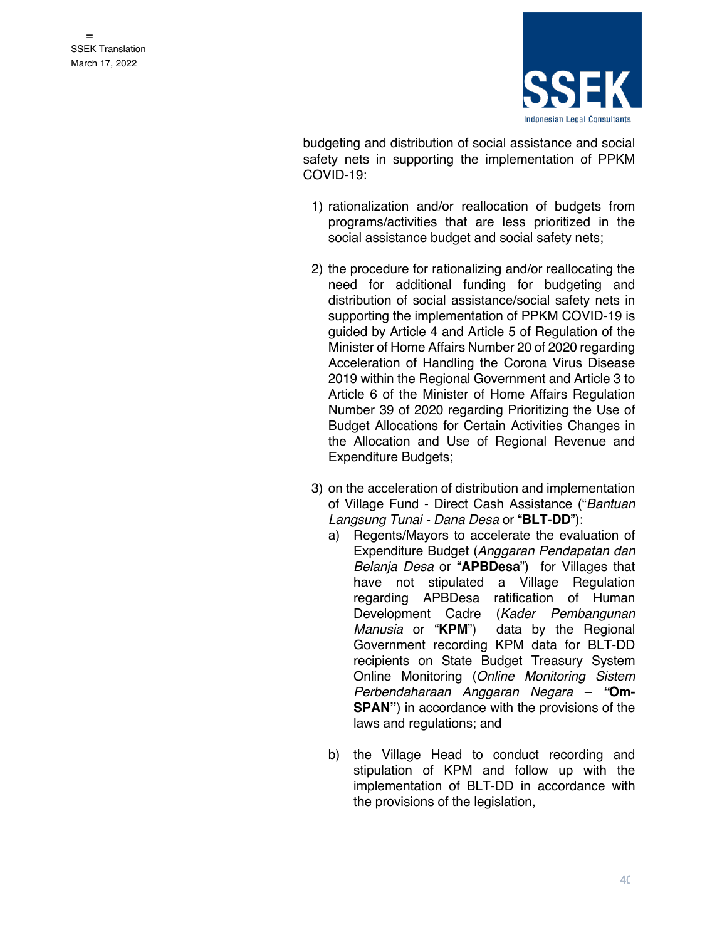

budgeting and distribution of social assistance and social safety nets in supporting the implementation of PPKM COVID-19:

- 1) rationalization and/or reallocation of budgets from programs/activities that are less prioritized in the social assistance budget and social safety nets;
- 2) the procedure for rationalizing and/or reallocating the need for additional funding for budgeting and distribution of social assistance/social safety nets in supporting the implementation of PPKM COVID-19 is guided by Article 4 and Article 5 of Regulation of the Minister of Home Affairs Number 20 of 2020 regarding Acceleration of Handling the Corona Virus Disease 2019 within the Regional Government and Article 3 to Article 6 of the Minister of Home Affairs Regulation Number 39 of 2020 regarding Prioritizing the Use of Budget Allocations for Certain Activities Changes in the Allocation and Use of Regional Revenue and Expenditure Budgets;
- 3) on the acceleration of distribution and implementation of Village Fund - Direct Cash Assistance ("*Bantuan Langsung Tunai - Dana Desa* or "**BLT-DD**"):
	- a) Regents/Mayors to accelerate the evaluation of Expenditure Budget (*Anggaran Pendapatan dan Belanja Desa* or "**APBDesa**") for Villages that have not stipulated a Village Regulation regarding APBDesa ratification of Human Development Cadre (*Kader Pembangunan Manusia* or "**KPM**") data by the Regional Government recording KPM data for BLT-DD recipients on State Budget Treasury System Online Monitoring (*Online Monitoring Sistem Perbendaharaan Anggaran Negara – "***Om-SPAN"**) in accordance with the provisions of the laws and regulations; and
	- b) the Village Head to conduct recording and stipulation of KPM and follow up with the implementation of BLT-DD in accordance with the provisions of the legislation,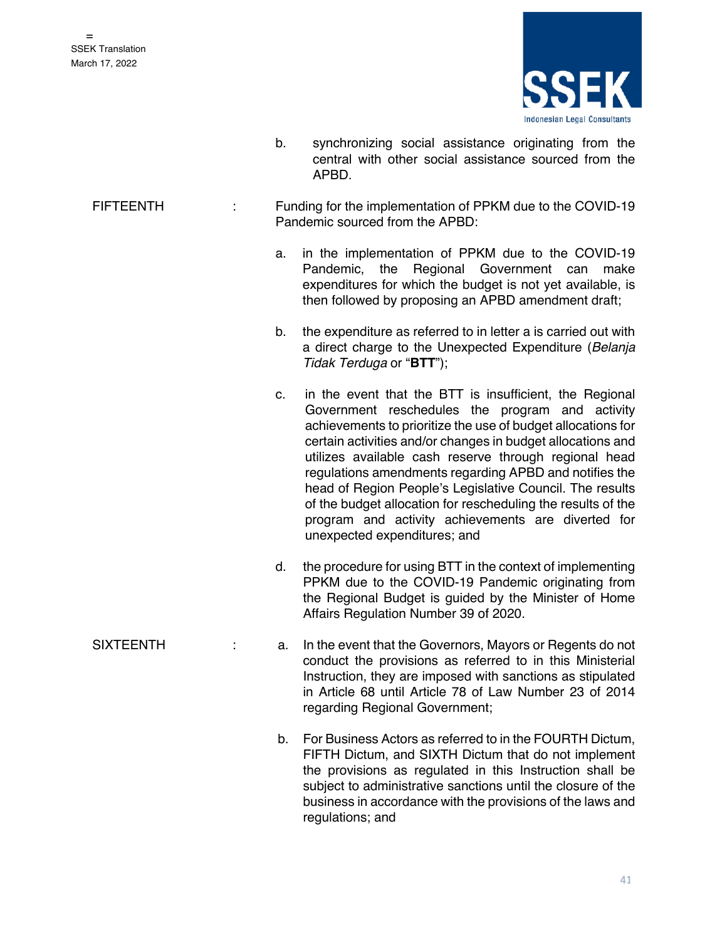

- b. synchronizing social assistance originating from the central with other social assistance sourced from the APBD.
- FIFTEENTH : Funding for the implementation of PPKM due to the COVID-19 Pandemic sourced from the APBD:
	- a. in the implementation of PPKM due to the COVID-19 Pandemic, the Regional Government can make expenditures for which the budget is not yet available, is then followed by proposing an APBD amendment draft;
	- b. the expenditure as referred to in letter a is carried out with a direct charge to the Unexpected Expenditure (*Belanja Tidak Terduga* or "**BTT**");
	- c. in the event that the BTT is insufficient, the Regional Government reschedules the program and activity achievements to prioritize the use of budget allocations for certain activities and/or changes in budget allocations and utilizes available cash reserve through regional head regulations amendments regarding APBD and notifies the head of Region People's Legislative Council. The results of the budget allocation for rescheduling the results of the program and activity achievements are diverted for unexpected expenditures; and
	- d. the procedure for using BTT in the context of implementing PPKM due to the COVID-19 Pandemic originating from the Regional Budget is guided by the Minister of Home Affairs Regulation Number 39 of 2020.
- SIXTEENTH : a. In the event that the Governors, Mayors or Regents do not conduct the provisions as referred to in this Ministerial Instruction, they are imposed with sanctions as stipulated in Article 68 until Article 78 of Law Number 23 of 2014 regarding Regional Government;
	- b. For Business Actors as referred to in the FOURTH Dictum, FIFTH Dictum, and SIXTH Dictum that do not implement the provisions as regulated in this Instruction shall be subject to administrative sanctions until the closure of the business in accordance with the provisions of the laws and regulations; and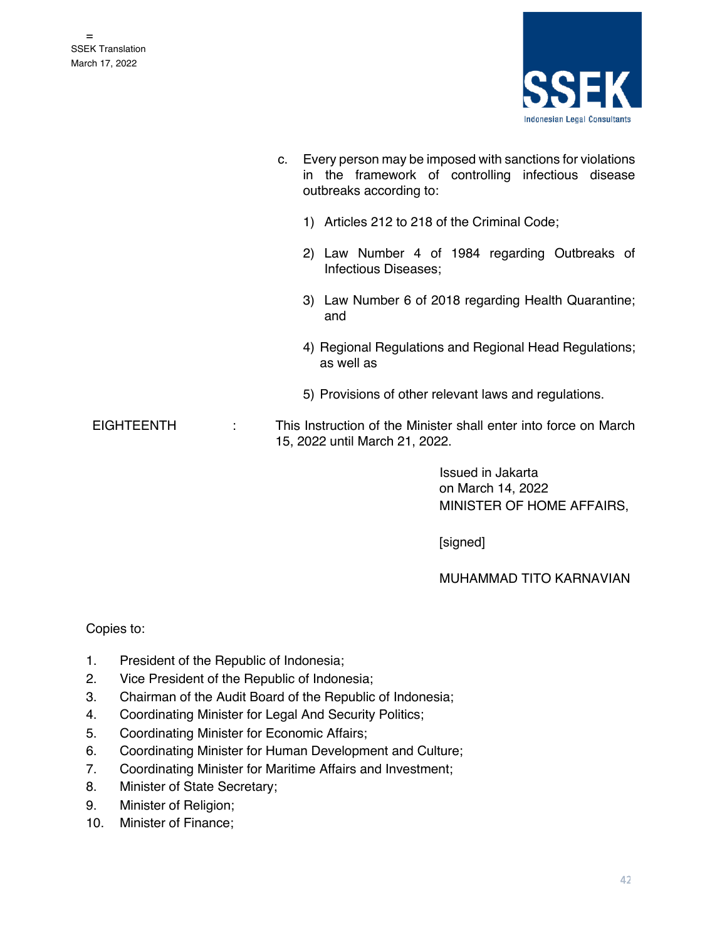

| c. Every person may be imposed with sanctions for violations |  |  |                                                    |  |  |  |  |
|--------------------------------------------------------------|--|--|----------------------------------------------------|--|--|--|--|
|                                                              |  |  | in the framework of controlling infectious disease |  |  |  |  |
|                                                              |  |  | outbreaks according to:                            |  |  |  |  |

- 1) Articles 212 to 218 of the Criminal Code;
- 2) Law Number 4 of 1984 regarding Outbreaks of Infectious Diseases;
- 3) Law Number 6 of 2018 regarding Health Quarantine; and
- 4) Regional Regulations and Regional Head Regulations; as well as
- 5) Provisions of other relevant laws and regulations.
- EIGHTEENTH : This Instruction of the Minister shall enter into force on March 15, 2022 until March 21, 2022.

 Issued in Jakarta on March 14, 2022 MINISTER OF HOME AFFAIRS,

[signed]

MUHAMMAD TITO KARNAVIAN

#### Copies to:

- 1. President of the Republic of Indonesia;
- 2. Vice President of the Republic of Indonesia;
- 3. Chairman of the Audit Board of the Republic of Indonesia;
- 4. Coordinating Minister for Legal And Security Politics;
- 5. Coordinating Minister for Economic Affairs;
- 6. Coordinating Minister for Human Development and Culture;
- 7. Coordinating Minister for Maritime Affairs and Investment;
- 8. Minister of State Secretary;
- 9. Minister of Religion;
- 10. Minister of Finance;